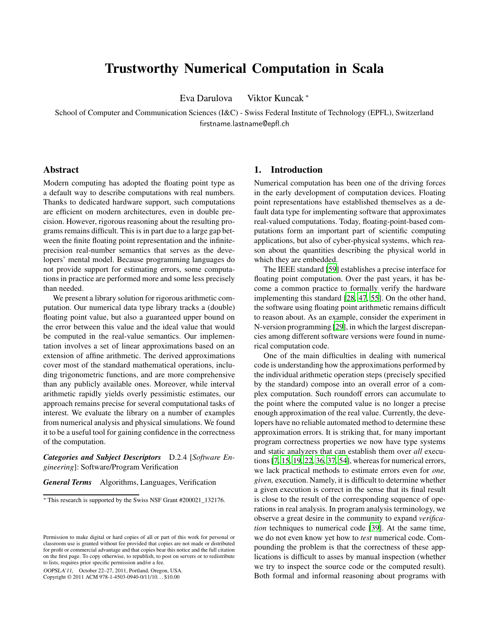# **Trustworthy Numerical Computation in Scala**

Eva Darulova Viktor Kuncak <sup>∗</sup>

School of Computer and Communication Sciences (I&C) - Swiss Federal Institute of Technology (EPFL), Switzerland firstname.lastname@epfl.ch

# **Abstract**

Modern computing has adopted the floating point type as a default way to describe computations with real numbers. Thanks to dedicated hardware support, such computations are efficient on modern architectures, even in double precision. However, rigorous reasoning about the resulting programs remains difficult. This is in part due to a large gap between the finite floating point representation and the infiniteprecision real-number semantics that serves as the developers' mental model. Because programming languages do not provide support for estimating errors, some computations in practice are performed more and some less precisely than needed.

We present a library solution for rigorous arithmetic computation. Our numerical data type library tracks a (double) floating point value, but also a guaranteed upper bound on the error between this value and the ideal value that would be computed in the real-value semantics. Our implementation involves a set of linear approximations based on an extension of affine arithmetic. The derived approximations cover most of the standard mathematical operations, including trigonometric functions, and are more comprehensive than any publicly available ones. Moreover, while interval arithmetic rapidly yields overly pessimistic estimates, our approach remains precise for several computational tasks of interest. We evaluate the library on a number of examples from numerical analysis and physical simulations. We found it to be a useful tool for gaining confidence in the correctness of the computation.

*Categories and Subject Descriptors* D.2.4 [*Software Engineering*]: Software/Program Verification

*General Terms* Algorithms, Languages, Verification

<sup>∗</sup> This research is supported by the Swiss NSF Grant #200021\_132176.

OOPSLA'11, October 22–27, 2011, Portland, Oregon, USA.

Copyright © 2011 ACM 978-1-4503-0940-0/11/10. . . \$10.00

# **1. Introduction**

Numerical computation has been one of the driving forces in the early development of computation devices. Floating point representations have established themselves as a default data type for implementing software that approximates real-valued computations. Today, floating-point-based computations form an important part of scientific computing applications, but also of cyber-physical systems, which reason about the quantities describing the physical world in which they are embedded.

The IEEE standard [\[59\]](#page-19-0) establishes a precise interface for floating point computation. Over the past years, it has become a common practice to formally verify the hardware implementing this standard [\[28](#page-19-1), [47](#page-19-2), [55\]](#page-19-3). On the other hand, the software using floating point arithmetic remains difficult to reason about. As an example, consider the experiment in N-version programming [\[29](#page-19-4)], in which the largest discrepancies among different software versions were found in numerical computation code.

One of the main difficulties in dealing with numerical code is understanding how the approximations performed by the individual arithmetic operation steps (precisely specified by the standard) compose into an overall error of a complex computation. Such roundoff errors can accumulate to the point where the computed value is no longer a precise enough approximation of the real value. Currently, the developers have no reliable automated method to determine these approximation errors. It is striking that, for many important program correctness properties we now have type systems and static analyzers that can establish them over *all* executions  $[7, 15, 19, 22, 36, 37, 54]$  $[7, 15, 19, 22, 36, 37, 54]$  $[7, 15, 19, 22, 36, 37, 54]$  $[7, 15, 19, 22, 36, 37, 54]$  $[7, 15, 19, 22, 36, 37, 54]$  $[7, 15, 19, 22, 36, 37, 54]$  $[7, 15, 19, 22, 36, 37, 54]$  $[7, 15, 19, 22, 36, 37, 54]$  $[7, 15, 19, 22, 36, 37, 54]$  $[7, 15, 19, 22, 36, 37, 54]$  $[7, 15, 19, 22, 36, 37, 54]$  $[7, 15, 19, 22, 36, 37, 54]$  $[7, 15, 19, 22, 36, 37, 54]$ , whereas for numerical errors, we lack practical methods to estimate errors even for *one, given,* execution. Namely, it is difficult to determine whether a given execution is correct in the sense that its final result is close to the result of the corresponding sequence of operations in real analysis. In program analysis terminology, we observe a great desire in the community to expand *verification* techniques to numerical code [\[39\]](#page-19-8). At the same time, we do not even know yet how to *test* numerical code. Compounding the problem is that the correctness of these applications is difficult to asses by manual inspection (whether we try to inspect the source code or the computed result). Both formal and informal reasoning about programs with

Permission to make digital or hard copies of all or part of this work for personal or classroom use is granted without fee provided that copies are not made or distributed for profit or commercial advantage and that copies bear this notice and the full citation on the first page. To copy otherwise, to republish, to post on servers or to redistribute to lists, requires prior specific permission and/or a fee.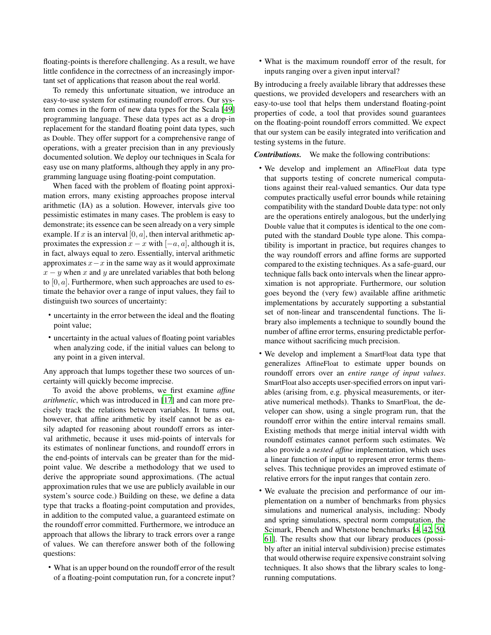floating-points is therefore challenging. As a result, we have little confidence in the correctness of an increasingly important set of applications that reason about the real world.

To remedy this unfortunate situation, we introduce an easy-to-use system for estimating roundoff errors. Our system comes in the form of new data types for the Scala [\[49\]](#page-19-9) programming language. These data types act as a drop-in replacement for the standard floating point data types, such as Double. They offer support for a comprehensive range of operations, with a greater precision than in any previously documented solution. We deploy our techniques in Scala for easy use on many platforms, although they apply in any programming language using floating-point computation.

When faced with the problem of floating point approximation errors, many existing approaches propose interval arithmetic (IA) as a solution. However, intervals give too pessimistic estimates in many cases. The problem is easy to demonstrate; its essence can be seen already on a very simple example. If x is an interval  $[0, a]$ , then interval arithmetic approximates the expression  $x - x$  with  $[-a, a]$ , although it is, in fact, always equal to zero. Essentially, interval arithmetic approximates  $x - x$  in the same way as it would approximate  $x - y$  when x and y are unrelated variables that both belong to  $[0, a]$ . Furthermore, when such approaches are used to estimate the behavior over a range of input values, they fail to distinguish two sources of uncertainty:

- uncertainty in the error between the ideal and the floating point value;
- uncertainty in the actual values of floating point variables when analyzing code, if the initial values can belong to any point in a given interval.

Any approach that lumps together these two sources of uncertainty will quickly become imprecise.

To avoid the above problems, we first examine *affine arithmetic*, which was introduced in [\[17](#page-18-4)] and can more precisely track the relations between variables. It turns out, however, that affine arithmetic by itself cannot be as easily adapted for reasoning about roundoff errors as interval arithmetic, because it uses mid-points of intervals for its estimates of nonlinear functions, and roundoff errors in the end-points of intervals can be greater than for the midpoint value. We describe a methodology that we used to derive the appropriate sound approximations. (The actual approximation rules that we use are publicly available in our system's source code.) Building on these, we define a data type that tracks a floating-point computation and provides, in addition to the computed value, a guaranteed estimate on the roundoff error committed. Furthermore, we introduce an approach that allows the library to track errors over a range of values. We can therefore answer both of the following questions:

• What is an upper bound on the roundoff error of the result of a floating-point computation run, for a concrete input? • What is the maximum roundoff error of the result, for inputs ranging over a given input interval?

By introducing a freely available library that addresses these questions, we provided developers and researchers with an easy-to-use tool that helps them understand floating-point properties of code, a tool that provides sound guarantees on the floating-point roundoff errors committed. We expect that our system can be easily integrated into verification and testing systems in the future.

*Contributions.* We make the following contributions:

- We develop and implement an AffineFloat data type that supports testing of concrete numerical computations against their real-valued semantics. Our data type computes practically useful error bounds while retaining compatibility with the standard Double data type: not only are the operations entirely analogous, but the underlying Double value that it computes is identical to the one computed with the standard Double type alone. This compatibility is important in practice, but requires changes to the way roundoff errors and affine forms are supported compared to the existing techniques. As a safe-guard, our technique falls back onto intervals when the linear approximation is not appropriate. Furthermore, our solution goes beyond the (very few) available affine arithmetic implementations by accurately supporting a substantial set of non-linear and transcendental functions. The library also implements a technique to soundly bound the number of affine error terms, ensuring predictable performance without sacrificing much precision.
- We develop and implement a SmartFloat data type that generalizes AffineFloat to estimate upper bounds on roundoff errors over an *entire range of input values*. SmartFloat also accepts user-specified errors on input variables (arising from, e.g. physical measurements, or iterative numerical methods). Thanks to SmartFloat, the developer can show, using a single program run, that the roundoff error within the entire interval remains small. Existing methods that merge initial interval width with roundoff estimates cannot perform such estimates. We also provide a *nested affine* implementation, which uses a linear function of input to represent error terms themselves. This technique provides an improved estimate of relative errors for the input ranges that contain zero.
- We evaluate the precision and performance of our implementation on a number of benchmarks from physics simulations and numerical analysis, including: Nbody and spring simulations, spectral norm computation, the Scimark, Fbench and Whetstone benchmarks [\[4,](#page-18-5) [42](#page-19-10), [50,](#page-19-11) [61\]](#page-19-12). The results show that our library produces (possibly after an initial interval subdivision) precise estimates that would otherwise require expensive constraint solving techniques. It also shows that the library scales to longrunning computations.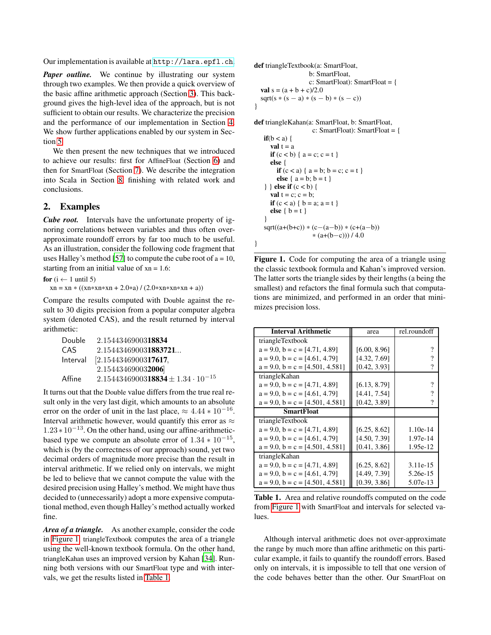Our implementation is available at <http://lara.epfl.ch>.

*Paper outline.* We continue by illustrating our system through two examples. We then provide a quick overview of the basic affine arithmetic approach (Section [3\)](#page-3-0). This background gives the high-level idea of the approach, but is not sufficient to obtain our results. We characterize the precision and the performance of our implementation in Section [4.](#page-5-0) We show further applications enabled by our system in Section [5.](#page-8-0)

We then present the new techniques that we introduced to achieve our results: first for AffineFloat (Section [6\)](#page-9-0) and then for SmartFloat (Section [7\)](#page-13-0). We describe the integration into Scala in Section [8,](#page-15-0) finishing with related work and conclusions.

# <span id="page-2-2"></span>**2. Examples**

*Cube root.* Intervals have the unfortunate property of ignoring correlations between variables and thus often overapproximate roundoff errors by far too much to be useful. As an illustration, consider the following code fragment that uses Halley's method [\[57\]](#page-19-13) to compute the cube root of  $a = 10$ , starting from an initial value of  $xn = 1.6$ :

**for**  $(i \leftarrow 1$  until 5)  $xn = xn * ((xn * xn * xn + 2.0 * a) / (2.0 * xn * xn * xn + a))$ 

Compare the results computed with Double against the result to 30 digits precision from a popular computer algebra system (denoted CAS), and the result returned by interval arithmetic:

| Double   | 2.1544346900318834                                                |
|----------|-------------------------------------------------------------------|
| CAS      | 2.154434690031883721                                              |
| Interval | [2.1544346900317617,                                              |
|          | 2.154434690032006                                                 |
| Affine   | $2.15443469003$ <b>18834</b> $\pm$ 1.34 $\cdot$ 10 <sup>-15</sup> |
|          |                                                                   |

It turns out that the Double value differs from the true real result only in the very last digit, which amounts to an absolute error on the order of unit in the last place,  $\approx 4.44 \times 10^{-16}$ . Interval arithmetic however, would quantify this error as  $\approx$  $1.23 \times 10^{-13}$ . On the other hand, using our affine-arithmeticbased type we compute an absolute error of  $1.34 \times 10^{-15}$ , which is (by the correctness of our approach) sound, yet two decimal orders of magnitude more precise than the result in interval arithmetic. If we relied only on intervals, we might be led to believe that we cannot compute the value with the desired precision using Halley's method. We might have thus decided to (unnecessarily) adopt a more expensive computational method, even though Halley's method actually worked fine.

*Area of a triangle.* As another example, consider the code in [Figure](#page-2-0) 1. triangleTextbook computes the area of a triangle using the well-known textbook formula. On the other hand, triangleKahan uses an improved version by Kahan [\[34\]](#page-19-14). Running both versions with our SmartFloat type and with intervals, we get the results listed in [Table](#page-2-1) 1.

```
def triangleTextbook(a: SmartFloat,
                   b: SmartFloat,
                   c: SmartFloat): SmartFloat = {
  val s = (a + b + c)/2.0sqrt(s * (s - a) * (s - b) * (s - c))}
```
**def** triangleKahan(a: SmartFloat, b: SmartFloat, c: SmartFloat): SmartFloat = {

```
if(b < a) {
  val t = aif (c < b) \{ a = c; c = t \}else {
    if (c < a) \{ a = b; b = c; c = t \}else { a = b; b = t }
} } else if (c < b) {
  val t = c; c = b;
  if (c < a) \{ b = a; a = t \}else { b = t }
}
sqrt((a+(b+c)) * (c-(a-b)) * (c+(a-b))* (a+(b−c))) / 4.0
```
}

<span id="page-2-0"></span>**Figure 1.** Code for computing the area of a triangle using the classic textbook formula and Kahan's improved version. The latter sorts the triangle sides by their lengths (a being the smallest) and refactors the final formula such that computations are minimized, and performed in an order that minimizes precision loss.

| <b>Interval Arithmetic</b>           | area         | rel.roundoff |
|--------------------------------------|--------------|--------------|
| triangleTextbook                     |              |              |
| $a = 9.0$ , $b = c = [4.71, 4.89]$   | [6.00, 8.96] | ?            |
| $a = 9.0$ , $b = c = [4.61, 4.79]$   | [4.32, 7.69] | ?            |
| $a = 9.0$ , $b = c = [4.501, 4.581]$ | [0.42, 3.93] | ?            |
| triangleKahan                        |              |              |
| $a = 9.0$ , $b = c = [4.71, 4.89]$   | [6.13, 8.79] | 9            |
| $a = 9.0$ , $b = c = [4.61, 4.79]$   | [4.41, 7.54] | 7            |
| $a = 9.0$ , $b = c = [4.501, 4.581]$ | [0.42, 3.89] | ?            |
| <b>SmartFloat</b>                    |              |              |
| triangleTextbook                     |              |              |
| $a = 9.0$ , $b = c = [4.71, 4.89]$   | [6.25, 8.62] | $1.10e-14$   |
| $a = 9.0$ , $b = c = [4.61, 4.79]$   | [4.50, 7.39] | 1.97e-14     |
| $a = 9.0$ , $b = c = [4.501, 4.581]$ | [0.41, 3.86] | 1.95e-12     |
| triangleKahan                        |              |              |
| $a = 9.0$ , $b = c = [4.71, 4.89]$   | [6.25, 8.62] | 3.11e-15     |
| $a = 9.0$ , $b = c = [4.61, 4.79]$   | [4.49, 7.39] | 5.26e-15     |
| $a = 9.0$ , $b = c = [4.501, 4.581]$ | [0.39, 3.86] | 5.07e-13     |

<span id="page-2-1"></span>**Table 1.** Area and relative roundoffs computed on the code from [Figure](#page-2-0) 1 with SmartFloat and intervals for selected values.

Although interval arithmetic does not over-approximate the range by much more than affine arithmetic on this particular example, it fails to quantify the roundoff errors. Based only on intervals, it is impossible to tell that one version of the code behaves better than the other. Our SmartFloat on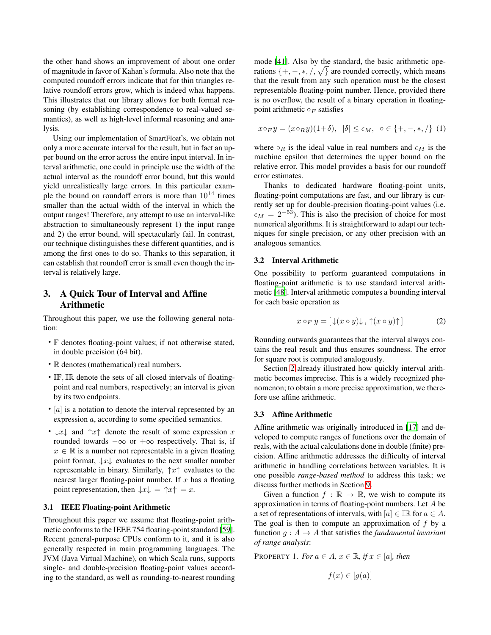the other hand shows an improvement of about one order of magnitude in favor of Kahan's formula. Also note that the computed roundoff errors indicate that for thin triangles relative roundoff errors grow, which is indeed what happens. This illustrates that our library allows for both formal reasoning (by establishing correspondence to real-valued semantics), as well as high-level informal reasoning and analysis.

Using our implementation of SmartFloat's, we obtain not only a more accurate interval for the result, but in fact an upper bound on the error across the entire input interval. In interval arithmetic, one could in principle use the width of the actual interval as the roundoff error bound, but this would yield unrealistically large errors. In this particular example the bound on roundoff errors is more than  $10^{14}$  times smaller than the actual width of the interval in which the output ranges! Therefore, any attempt to use an interval-like abstraction to simultaneously represent 1) the input range and 2) the error bound, will spectacularly fail. In contrast, our technique distinguishes these different quantities, and is among the first ones to do so. Thanks to this separation, it can establish that roundoff error is small even though the interval is relatively large.

# <span id="page-3-0"></span>**3. A Quick Tour of Interval and Affine Arithmetic**

Throughout this paper, we use the following general notation:

- F denotes floating-point values; if not otherwise stated, in double precision (64 bit).
- R denotes (mathematical) real numbers.
- IF, IR denote the sets of all closed intervals of floatingpoint and real numbers, respectively; an interval is given by its two endpoints.
- $\bullet$  [a] is a notation to denote the interval represented by an expression a, according to some specified semantics.
- $\downarrow x \downarrow$  and  $\uparrow x \uparrow$  denote the result of some expression x rounded towards  $-\infty$  or  $+\infty$  respectively. That is, if  $x \in \mathbb{R}$  is a number not representable in a given floating point format,  $\downarrow x \downarrow$  evaluates to the next smaller number representable in binary. Similarly,  $\uparrow x \uparrow$  evaluates to the nearest larger floating-point number. If  $x$  has a floating point representation, then  $\downarrow x \downarrow$  =  $\uparrow x \uparrow$  = x.

# **3.1 IEEE Floating-point Arithmetic**

Throughout this paper we assume that floating-point arith-metic conforms to the IEEE 754 floating-point standard [\[59](#page-19-0)]. Recent general-purpose CPUs conform to it, and it is also generally respected in main programming languages. The JVM (Java Virtual Machine), on which Scala runs, supports single- and double-precision floating-point values according to the standard, as well as rounding-to-nearest rounding

mode [\[41\]](#page-19-15). Also by the standard, the basic arithmetic operations  $\{+, -, *, /, \sqrt{\}}$  are rounded correctly, which means that the result from any such operation must be the closest representable floating-point number. Hence, provided there is no overflow, the result of a binary operation in floatingpoint arithmetic  $\circ_F$  satisfies

<span id="page-3-1"></span>
$$
x \circ_F y = (x \circ_R y)(1+\delta), \quad |\delta| \le \epsilon_M, \quad \circ \in \{+, -, *, /\} \tag{1}
$$

where  $\circ_R$  is the ideal value in real numbers and  $\epsilon_M$  is the machine epsilon that determines the upper bound on the relative error. This model provides a basis for our roundoff error estimates.

Thanks to dedicated hardware floating-point units, floating-point computations are fast, and our library is currently set up for double-precision floating-point values (i.e.  $\epsilon_M = 2^{-53}$ ). This is also the precision of choice for most numerical algorithms. It is straightforward to adapt our techniques for single precision, or any other precision with an analogous semantics.

### **3.2 Interval Arithmetic**

One possibility to perform guaranteed computations in floating-point arithmetic is to use standard interval arithmetic [\[48\]](#page-19-16). Interval arithmetic computes a bounding interval for each basic operation as

$$
x \circ_F y = [\downarrow (x \circ y)\downarrow, \uparrow (x \circ y)\uparrow]
$$
 (2)

Rounding outwards guarantees that the interval always contains the real result and thus ensures soundness. The error for square root is computed analogously.

Section [2](#page-2-2) already illustrated how quickly interval arithmetic becomes imprecise. This is a widely recognized phenomenon; to obtain a more precise approximation, we therefore use affine arithmetic.

# **3.3 Affine Arithmetic**

Affine arithmetic was originally introduced in [\[17](#page-18-4)] and developed to compute ranges of functions over the domain of reals, with the actual calculations done in double (finite) precision. Affine arithmetic addresses the difficulty of interval arithmetic in handling correlations between variables. It is one possible *range-based method* to address this task; we discuss further methods in Section [9.](#page-16-0)

Given a function  $f : \mathbb{R} \to \mathbb{R}$ , we wish to compute its approximation in terms of floating-point numbers. Let A be a set of representations of intervals, with  $[a] \in \mathbb{R}$  for  $a \in A$ . The goal is then to compute an approximation of  $f$  by a function  $g : A \rightarrow A$  that satisfies the *fundamental invariant of range analysis*:

PROPERTY 1. *For*  $a \in A$ ,  $x \in \mathbb{R}$ , *if*  $x \in [a]$ , *then* 

$$
f(x) \in [g(a)]
$$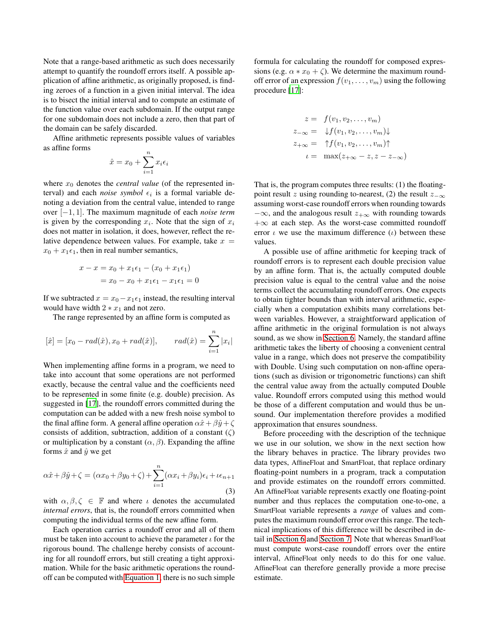Note that a range-based arithmetic as such does necessarily attempt to quantify the roundoff errors itself. A possible application of affine arithmetic, as originally proposed, is finding zeroes of a function in a given initial interval. The idea is to bisect the initial interval and to compute an estimate of the function value over each subdomain. If the output range for one subdomain does not include a zero, then that part of the domain can be safely discarded.

Affine arithmetic represents possible values of variables as affine forms

$$
\hat{x} = x_0 + \sum_{i=1}^n x_i \epsilon_i
$$

where  $x_0$  denotes the *central value* (of the represented interval) and each *noise symbol*  $\epsilon_i$  is a formal variable denoting a deviation from the central value, intended to range over [−1, 1]. The maximum magnitude of each *noise term* is given by the corresponding  $x_i$ . Note that the sign of  $x_i$ does not matter in isolation, it does, however, reflect the relative dependence between values. For example, take  $x =$  $x_0 + x_1 \epsilon_1$ , then in real number semantics,

$$
x - x = x_0 + x_1 \epsilon_1 - (x_0 + x_1 \epsilon_1)
$$
  
=  $x_0 - x_0 + x_1 \epsilon_1 - x_1 \epsilon_1 = 0$ 

If we subtracted  $x = x_0 - x_1 \epsilon_1$  instead, the resulting interval would have width  $2 \times x_1$  and not zero.

The range represented by an affine form is computed as

$$
[\hat{x}] = [x_0 - rad(\hat{x}), x_0 + rad(\hat{x})],
$$
  $rad(\hat{x}) = \sum_{i=1}^{n} |x_i|$ 

When implementing affine forms in a program, we need to take into account that some operations are not performed exactly, because the central value and the coefficients need to be represented in some finite (e.g. double) precision. As suggested in [\[17\]](#page-18-4), the roundoff errors committed during the computation can be added with a new fresh noise symbol to the final affine form. A general affine operation  $\alpha \hat{x} + \beta \hat{y} + \zeta$ consists of addition, subtraction, addition of a constant  $(\zeta)$ or multiplication by a constant  $(\alpha, \beta)$ . Expanding the affine forms  $\hat{x}$  and  $\hat{y}$  we get

<span id="page-4-0"></span>
$$
\alpha \hat{x} + \beta \hat{y} + \zeta = (\alpha x_0 + \beta y_0 + \zeta) + \sum_{i=1}^n (\alpha x_i + \beta y_i) \epsilon_i + \iota \epsilon_{n+1}
$$
\n(3)

with  $\alpha, \beta, \zeta \in \mathbb{F}$  and where  $\iota$  denotes the accumulated *internal errors*, that is, the roundoff errors committed when computing the individual terms of the new affine form.

Each operation carries a roundoff error and all of them must be taken into account to achieve the parameter  $\iota$  for the rigorous bound. The challenge hereby consists of accounting for all roundoff errors, but still creating a tight approximation. While for the basic arithmetic operations the roundoff can be computed with [Equation](#page-3-1) 1, there is no such simple formula for calculating the roundoff for composed expressions (e.g.  $\alpha * x_0 + \zeta$ ). We determine the maximum roundoff error of an expression  $f(v_1, \ldots, v_m)$  using the following procedure [\[17\]](#page-18-4):

$$
z = f(v_1, v_2, \dots, v_m)
$$
  
\n
$$
z_{-\infty} = \downarrow f(v_1, v_2, \dots, v_m) \downarrow
$$
  
\n
$$
z_{+\infty} = \uparrow f(v_1, v_2, \dots, v_m) \uparrow
$$
  
\n
$$
\iota = \max(z_{+\infty} - z, z - z_{-\infty})
$$

That is, the program computes three results: (1) the floatingpoint result z using rounding to-nearest, (2) the result  $z_{-\infty}$ assuming worst-case roundoff errors when rounding towards  $-\infty$ , and the analogous result  $z_{+\infty}$  with rounding towards  $+\infty$  at each step. As the worst-case committed roundoff error  $\iota$  we use the maximum difference  $(\iota)$  between these values.

A possible use of affine arithmetic for keeping track of roundoff errors is to represent each double precision value by an affine form. That is, the actually computed double precision value is equal to the central value and the noise terms collect the accumulating roundoff errors. One expects to obtain tighter bounds than with interval arithmetic, especially when a computation exhibits many correlations between variables. However, a straightforward application of affine arithmetic in the original formulation is not always sound, as we show in [Section](#page-9-0) 6. Namely, the standard affine arithmetic takes the liberty of choosing a convenient central value in a range, which does not preserve the compatibility with Double. Using such computation on non-affine operations (such as division or trigonometric functions) can shift the central value away from the actually computed Double value. Roundoff errors computed using this method would be those of a different computation and would thus be unsound. Our implementation therefore provides a modified approximation that ensures soundness.

Before proceeding with the description of the technique we use in our solution, we show in the next section how the library behaves in practice. The library provides two data types, AffineFloat and SmartFloat, that replace ordinary floating-point numbers in a program, track a computation and provide estimates on the roundoff errors committed. An AffineFloat variable represents exactly one floating-point number and thus replaces the computation one-to-one, a SmartFloat variable represents a *range* of values and computes the maximum roundoff error over this range. The technical implications of this difference will be described in detail in [Section](#page-9-0) 6 and [Section](#page-13-0) 7. Note that whereas SmartFloat must compute worst-case roundoff errors over the entire interval, AffineFloat only needs to do this for one value. AffineFloat can therefore generally provide a more precise estimate.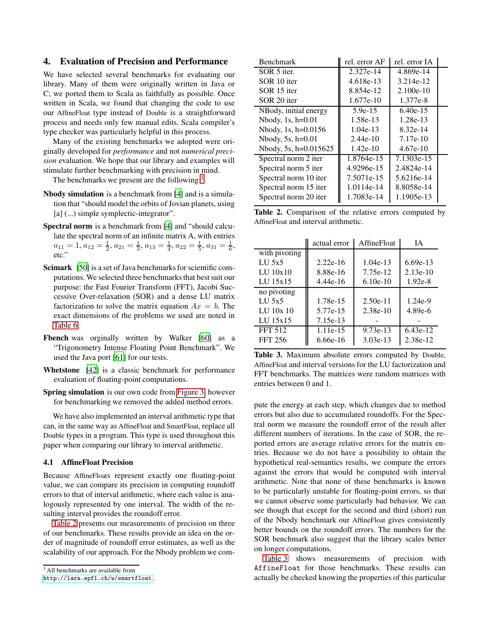# <span id="page-5-0"></span>**4. Evaluation of Precision and Performance**

We have selected several benchmarks for evaluating our library. Many of them were originally written in Java or C; we ported them to Scala as faithfully as possible. Once written in Scala, we found that changing the code to use our AffineFloat type instead of Double is a straightforward process and needs only few manual edits. Scala compiler's type checker was particularly helpful in this process.

Many of the existing benchmarks we adopted were originally developed for *performance* and not *numerical precision* evaluation. We hope that our library and examples will stimulate further benchmarking with precision in mind.

The benchmarks we present are the following: $<sup>1</sup>$  $<sup>1</sup>$  $<sup>1</sup>$ </sup>

- **Nbody simulation** is a benchmark from [\[4](#page-18-5)] and is a simulation that "should model the orbits of Jovian planets, using [a]  $(...)$  simple symplectic-integrator".
- **Spectral norm** is a benchmark from [\[4](#page-18-5)] and "should calculate the spectral norm of an infinite matrix A, with entries  $a_{11} = 1, a_{12} = \frac{1}{2}, a_{21} = \frac{1}{3}, a_{13} = \frac{1}{4}, a_{22} = \frac{1}{5}, a_{31} = \frac{1}{6},$ etc."
- **Scimark** [\[50\]](#page-19-11) is a set of Java benchmarks for scientific computations. We selected three benchmarks that best suit our purpose: the Fast Fourier Transform (FFT), Jacobi Successive Over-relaxation (SOR) and a dense LU matrix factorization to solve the matrix equation  $Ax = b$ . The exact dimensions of the problems we used are noted in [Table](#page-7-0) 6.
- **Fbench** was orginally written by Walker [\[60\]](#page-19-17) as a "Trigonometry Intense Floating Point Benchmark". We used the Java port [\[61\]](#page-19-12) for our tests.
- **Whetstone** [\[42\]](#page-19-10) is a classic benchmark for performance evaluation of floating-point computations.
- **Spring simulation** is our own code from [Figure](#page-9-1) 3, however for benchmarking we removed the added method errors.

We have also implemented an interval arithmetic type that can, in the same way as AffineFloat and SmartFloat, replace all Double types in a program. This type is used throughout this paper when comparing our library to interval arithmetic.

### **4.1 AffineFloat Precision**

Because AffineFloats represent exactly one floating-point value, we can compare its precision in computing roundoff errors to that of interval arithmetic, where each value is analogously represented by one interval. The width of the resulting interval provides the roundoff error.

[Table](#page-5-2) 2 presents our measurements of precision on three of our benchmarks. These results provide an idea on the order of magnitude of roundoff error estimates, as well as the scalability of our approach. For the Nbody problem we com-

| <b>Benchmark</b>      | rel. error AF | rel. error IA |  |
|-----------------------|---------------|---------------|--|
| SOR 5 iter.           | 2.327e-14     | 4.869e-14     |  |
| SOR 10 iter           | 4.618e-13     | 3.214e-12     |  |
| SOR 15 iter           | 8.854e-12     | $2.100e-10$   |  |
| SOR 20 iter           | $1.677e-10$   | 1.377e-8      |  |
| NBody, initial energy | $5.9e-15$     | $6.40e-15$    |  |
| Nbody, 1s, h=0.01     | 1.58e-13      | 1.28e-13      |  |
| Nbody, 1s, h=0.0156   | $1.04e-13$    | 8.32e-14      |  |
| Nbody, 5s, $h=0.01$   | $2.44e-10$    | $7.17e-10$    |  |
| Nbody, 5s, h=0.015625 | $1.42e-10$    | $4.67e-10$    |  |
| Spectral norm 2 iter  | 1.8764e-15    | 7.1303e-15    |  |
| Spectral norm 5 iter  | 4.9296e-15    | 2.4824e-14    |  |
| Spectral norm 10 iter | 7.5071e-15    | 5.6216e-14    |  |
| Spectral norm 15 iter | 1.0114e-14    | 8.8058e-14    |  |
| Spectral norm 20 iter | 1.7083e-14    | 1.1905e-13    |  |

<span id="page-5-2"></span>**Table 2.** Comparison of the relative errors computed by AffineFloat and interval arithmetic.

|                | actual error | AffineFloat | ĪА         |
|----------------|--------------|-------------|------------|
| with pivoting  |              |             |            |
| LU $5x5$       | $2.22e-16$   | $1.04e-13$  | $6.69e-13$ |
| LU $10x10$     | 8.88e-16     | 7.75e-12    | $2.13e-10$ |
| LU $15x15$     | 4.44e-16     | $6.10e-10$  | $1.92e-8$  |
| no pivoting    |              |             |            |
| LU $5x5$       | 1.78e-15     | $2.50e-11$  | $1.24e-9$  |
| LU $10x10$     | 5.77e-15     | $2.38e-10$  | $4.89e-6$  |
| $LU$ 15 $x$ 15 | $7.15e-13$   |             |            |
| <b>FFT 512</b> | 1.11e-15     | $9.73e-13$  | $6.43e-12$ |
| FFT 256        | $6.66e-16$   | $3.03e-13$  | 2.38e-12   |
|                |              |             |            |

<span id="page-5-3"></span>**Table 3.** Maximum absolute errors computed by Double, AffineFloat and interval versions for the LU factorization and FFT benchmarks. The matrices were random matrices with entries between 0 and 1.

pute the energy at each step, which changes due to method errors but also due to accumulated roundoffs. For the Spectral norm we measure the roundoff error of the result after different numbers of iterations. In the case of SOR, the reported errors are average relative errors for the matrix entries. Because we do not have a possibility to obtain the hypothetical real-semantics results, we compare the errors against the errors that would be computed with interval arithmetic. Note that none of these benchmarks is known to be particularly unstable for floating-point errors, so that we cannot observe some particularly bad behavior. We can see though that except for the second and third (short) run of the Nbody benchmark our AffineFloat gives consistently better bounds on the roundoff errors. The numbers for the SOR benchmark also suggest that the library scales better on longer computations.

[Table](#page-5-3) 3 shows measurements of precision with AffineFloat for those benchmarks. These results can actually be checked knowing the properties of this particular

<sup>&</sup>lt;sup>1</sup> All benchmarks are available from

<span id="page-5-1"></span><http://lara.epfl.ch/w/smartfloat> .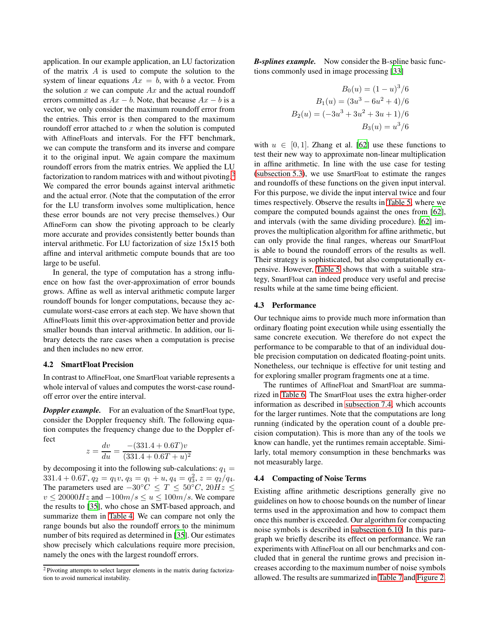application. In our example application, an LU factorization of the matrix  $A$  is used to compute the solution to the system of linear equations  $Ax = b$ , with b a vector. From the solution  $x$  we can compute  $Ax$  and the actual roundoff errors committed as  $Ax - b$ . Note, that because  $Ax - b$  is a vector, we only consider the maximum roundoff error from the entries. This error is then compared to the maximum roundoff error attached to  $x$  when the solution is computed with AffineFloats and intervals. For the FFT benchmark, we can compute the transform and its inverse and compare it to the original input. We again compare the maximum roundoff errors from the matrix entries. We applied the LU factorization to random matrices with and without pivoting.<sup>[2](#page-6-0)</sup> We compared the error bounds against interval arithmetic and the actual error. (Note that the computation of the error for the LU transform involves some multiplication, hence these error bounds are not very precise themselves.) Our AffineForm can show the pivoting approach to be clearly more accurate and provides consistently better bounds than interval arithmetic. For LU factorization of size 15x15 both affine and interval arithmetic compute bounds that are too large to be useful.

In general, the type of computation has a strong influence on how fast the over-approximation of error bounds grows. Affine as well as interval arithmetic compute larger roundoff bounds for longer computations, because they accumulate worst-case errors at each step. We have shown that AffineFloats limit this over-approximation better and provide smaller bounds than interval arithmetic. In addition, our library detects the rare cases when a computation is precise and then includes no new error.

### **4.2 SmartFloat Precision**

In contrast to AffineFloat, one SmartFloat variable represents a whole interval of values and computes the worst-case roundoff error over the entire interval.

<span id="page-6-1"></span>*Doppler example.* For an evaluation of the SmartFloat type, consider the Doppler frequency shift. The following equation computes the frequency change due to the Doppler effect

$$
z = \frac{dv}{du} = \frac{-(331.4 + 0.6T)v}{(331.4 + 0.6T + u)^2}
$$

by decomposing it into the following sub-calculations:  $q_1 =$  $331.4 + 0.6T, q_2 = q_1v, q_3 = q_1 + u, q_4 = q_3^2, z = q_2/q_4.$ The parameters used are  $-30^{\circ}C \leq T \leq 50^{\circ}C$ ,  $20Hz \leq$  $v \le 20000$ Hz and  $-100$ m/s  $\le u \le 100$ m/s. We compare the results to [\[35\]](#page-19-18), who chose an SMT-based approach, and summarize them in [Table](#page-7-1) 4. We can compare not only the range bounds but also the roundoff errors to the minimum number of bits required as determined in [\[35](#page-19-18)]. Our estimates show precisely which calculations require more precision, namely the ones with the largest roundoff errors.

*B-splines example.* Now consider the B-spline basic functions commonly used in image processing [\[33](#page-19-19)]

$$
B_0(u) = (1 - u)^3/6
$$
  
\n
$$
B_1(u) = (3u^3 - 6u^2 + 4)/6
$$
  
\n
$$
B_2(u) = (-3u^3 + 3u^2 + 3u + 1)/6
$$
  
\n
$$
B_3(u) = u^3/6
$$

with  $u \in [0, 1]$ . Zhang et al. [\[62\]](#page-19-20) use these functions to test their new way to approximate non-linear multiplication in affine arithmetic. In line with the use case for testing [\(subsection](#page-9-2) 5.3), we use SmartFloat to estimate the ranges and roundoffs of these functions on the given input interval. For this purpose, we divide the input interval twice and four times respectively. Observe the results in [Table](#page-7-2) 5, where we compare the computed bounds against the ones from [\[62](#page-19-20)], and intervals (with the same dividing procedure). [\[62\]](#page-19-20) improves the multiplication algorithm for affine arithmetic, but can only provide the final ranges, whereas our SmartFloat is able to bound the roundoff errors of the results as well. Their strategy is sophisticated, but also computationally expensive. However, [Table](#page-7-2) 5 shows that with a suitable strategy, SmartFloat can indeed produce very useful and precise results while at the same time being efficient.

### **4.3 Performance**

Our technique aims to provide much more information than ordinary floating point execution while using essentially the same concrete execution. We therefore do not expect the performance to be comparable to that of an individual double precision computation on dedicated floating-point units. Nonetheless, our technique is effective for unit testing and for exploring smaller program fragments one at a time.

The runtimes of AffineFloat and SmartFloat are summarized in [Table](#page-7-0) 6. The SmartFloat uses the extra higher-order information as described in [subsection](#page-14-0) 7.4, which accounts for the larger runtimes. Note that the computations are long running (indicated by the operation count of a double precision computation). This is more than any of the tools we know can handle, yet the runtimes remain acceptable. Similarly, total memory consumption in these benchmarks was not measurably large.

# **4.4 Compacting of Noise Terms**

Existing affine arithmetic descriptions generally give no guidelines on how to choose bounds on the number of linear terms used in the approximation and how to compact them once this number is exceeded. Our algorithm for compacting noise symbols is described in [subsection](#page-13-1) 6.10. In this paragraph we briefly describe its effect on performance. We ran experiments with AffineFloat on all our benchmarks and concluded that in general the runtime grows and precision increases according to the maximum number of noise symbols allowed. The results are summarized in [Table](#page-8-1) 7 and [Figure](#page-7-3) 2.

<span id="page-6-0"></span><sup>2</sup> Pivoting attempts to select larger elements in the matrix during factorization to avoid numerical instability.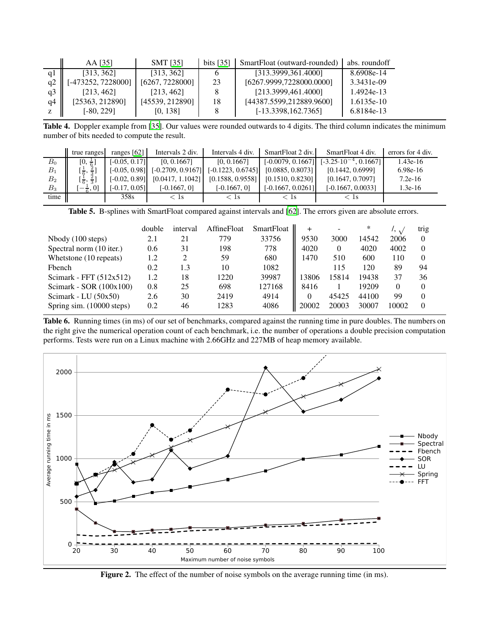|    | AA [35]            | <b>SMT</b> [35] | bits $[35]$ | SmartFloat (outward-rounded) | abs. roundoff |
|----|--------------------|-----------------|-------------|------------------------------|---------------|
| q1 | [313, 362]         | [313, 362]      |             | [313.3999,361.4000]          | 8.6908e-14    |
| q2 | [-473252, 7228000] | [6267, 7228000] | 23          | [6267.9999,7228000.0000]     | 3.3431e-09    |
| q3 | [213, 462]         | [213, 462]      |             | [213.3999, 461.4000]         | 1.4924e-13    |
| q4 | [25363, 212890]    | [45539, 212890] | 18          | [44387.5599,212889.9600]     | 1.6135e-10    |
| Z. | [-80, 229]         | [0, 138]        |             | $[-13.3398, 162.7365]$       | 6.8184e-13    |

<span id="page-7-1"></span>**Table 4.** Doppler example from [\[35\]](#page-19-18). Our values were rounded outwards to 4 digits. The third column indicates the minimum number of bits needed to compute the result.

|         | true ranges                  | ranges $[62]$   | Intervals 2 div.    | Intervals 4 div.    | SmartFloat 2 div.   | SmartFloat 4 div.                                   | errors for 4 div. |
|---------|------------------------------|-----------------|---------------------|---------------------|---------------------|-----------------------------------------------------|-------------------|
| $B_0$   | $[0, \frac{1}{6}]$           | $[-0.05, 0.17]$ | [0, 0.1667]         | [0, 0.1667]         |                     | $[-0.0079, 0.1667]$ $[-3.25 \cdot 10^{-4}, 0.1667]$ | $1.43e-16$        |
| $B_1$   | $[\frac{1}{6}, \frac{2}{3}]$ | $[-0.05, 0.98]$ | $[-0.2709, 0.9167]$ | $[-0.1223, 0.6745]$ | [0.0885, 0.8073]    | [0.1442, 0.6999]                                    | $6.98e-16$        |
| $B_{2}$ | $[\frac{1}{6}, \frac{2}{3}]$ | $[-0.02, 0.89]$ | [0.0417, 1.1042]    | [0.1588, 0.9558]    | [0.1510, 0.8230]    | [0.1647, 0.7097]                                    | $7.2e-16$         |
| $B_3$   |                              | $[-0.17, 0.05]$ | $[-0.1667, 0]$      | $[-0.1667, 0]$      | $[-0.1667, 0.0261]$ | $[-0.1667, 0.0033]$                                 | $1.3e-16$         |
| time    |                              | 358s            | ΞIS                 | $<$ 1s              | $<$ 1s              | $<$ 1s                                              |                   |

<span id="page-7-2"></span>**Table 5.** B-splines with SmartFloat compared against intervals and [\[62\]](#page-19-20). The errors given are absolute errors.

|                           | double | interval | AffineFloat | <b>SmartFloat</b> |          |       | ∗     | $^{\prime}$ , $\sim$ | trig           |
|---------------------------|--------|----------|-------------|-------------------|----------|-------|-------|----------------------|----------------|
| Nbody (100 steps)         | 2.1    | 21       | 779         | 33756             | 9530     | 3000  | 14542 | 2006                 | $\overline{0}$ |
| Spectral norm (10 iter.)  | 0.6    | 31       | 198         | 778               | 4020     | 0     | 4020  | 4002                 | $\theta$       |
| Whetstone (10 repeats)    | 1.2    | 2        | 59          | 680               | 1470     | 510   | 600   | 110                  | $\Omega$       |
| Fbench                    | 0.2    | 1.3      | 10          | 1082              |          | 115   | 120   | 89                   | 94             |
| Scimark - FFT $(512x512)$ | 1.2    | 18       | 1220        | 39987             | 13806    | 15814 | 19438 | 37                   | 36             |
| Scimark - SOR $(100x100)$ | 0.8    | 25       | 698         | 127168            | 8416     |       | 19209 | 0                    | $\Omega$       |
| Scimark - LU $(50x50)$    | 2.6    | 30       | 2419        | 4914              | $\theta$ | 45425 | 44100 | 99                   | $\theta$       |
| Spring sim. (10000 steps) | 0.2    | 46       | 1283        | 4086              | 20002    | 20003 | 30007 | 10002                | $\theta$       |

<span id="page-7-0"></span>**Table 6.** Running times (in ms) of our set of benchmarks, compared against the running time in pure doubles. The numbers on the right give the numerical operation count of each benchmark, i.e. the number of operations a double precision computation performs. Tests were run on a Linux machine with 2.66GHz and 227MB of heap memory available.



<span id="page-7-3"></span>**Figure 2.** The effect of the number of noise symbols on the average running time (in ms).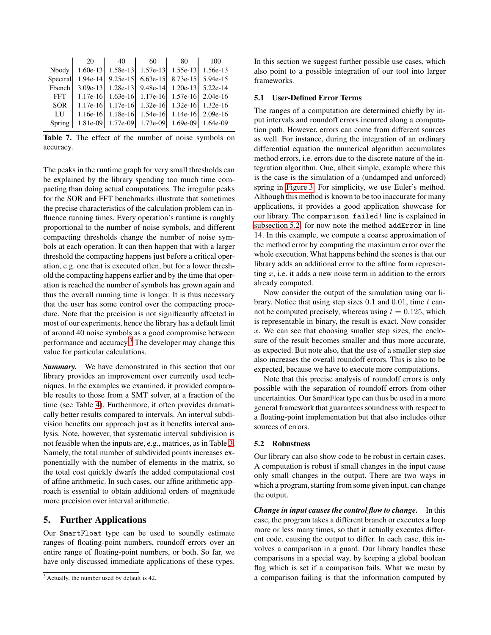|            | 20       | 40                                           | -60                                 | - 80              | - 100 |
|------------|----------|----------------------------------------------|-------------------------------------|-------------------|-------|
| Nbody      |          | $1.60e-13$ $1.58e-13$ $1.57e-13$             |                                     | 1.55e-13 1.56e-13 |       |
| Spectral   | 1.94e-14 |                                              | 9.25e-15 6.63e-15 8.73e-15 5.94e-15 |                   |       |
| Fbench     |          | 3.09e-13 1.28e-13 9.48e-14 1.20e-13 5.22e-14 |                                     |                   |       |
| <b>FFT</b> |          | 1.17e-16 1.63e-16 1.17e-16 1.57e-16 2.04e-16 |                                     |                   |       |
| <b>SOR</b> |          | 1.17e-16 1.17e-16 1.32e-16 1.32e-16 1.32e-16 |                                     |                   |       |
| LU         |          | 1.16e-16 1.18e-16 1.54e-16 1.14e-16 2.09e-16 |                                     |                   |       |
| Spring     |          | 1.81e-09 1.77e-09 1.73e-09 1.69e-09 1.64e-09 |                                     |                   |       |

<span id="page-8-1"></span>**Table 7.** The effect of the number of noise symbols on accuracy.

The peaks in the runtime graph for very small thresholds can be explained by the library spending too much time compacting than doing actual computations. The irregular peaks for the SOR and FFT benchmarks illustrate that sometimes the precise characteristics of the calculation problem can influence running times. Every operation's runtime is roughly proportional to the number of noise symbols, and different compacting thresholds change the number of noise symbols at each operation. It can then happen that with a larger threshold the compacting happens just before a critical operation, e.g. one that is executed often, but for a lower threshold the compacting happens earlier and by the time that operation is reached the number of symbols has grown again and thus the overall running time is longer. It is thus necessary that the user has some control over the compacting procedure. Note that the precision is not significantly affected in most of our experiments, hence the library has a default limit of around 40 noise symbols as a good compromise between performance and accuracy. [3](#page-8-2) The developer may change this value for particular calculations.

*Summary.* We have demonstrated in this section that our library provides an improvement over currently used techniques. In the examples we examined, it provided comparable results to those from a SMT solver, at a fraction of the time (see Table [4\)](#page-7-1). Furthermore, it often provides dramatically better results compared to intervals. An interval subdivision benefits our approach just as it benefits interval analysis. Note, however, that systematic interval subdivision is not feasible when the inputs are, e.g., matrices, as in Table [3.](#page-5-3) Namely, the total number of subdivided points increases exponentially with the number of elements in the matrix, so the total cost quickly dwarfs the added computational cost of affine arithmetic. In such cases, our affine arithmetic approach is essential to obtain additional orders of magnitude more precision over interval arithmetic.

# <span id="page-8-0"></span>**5. Further Applications**

Our SmartFloat type can be used to soundly estimate ranges of floating-point numbers, roundoff errors over an entire range of floating-point numbers, or both. So far, we have only discussed immediate applications of these types.

In this section we suggest further possible use cases, which also point to a possible integration of our tool into larger frameworks.

# **5.1 User-Defined Error Terms**

The ranges of a computation are determined chiefly by input intervals and roundoff errors incurred along a computation path. However, errors can come from different sources as well. For instance, during the integration of an ordinary differential equation the numerical algorithm accumulates method errors, i.e. errors due to the discrete nature of the integration algorithm. One, albeit simple, example where this is the case is the simulation of a (undamped and unforced) spring in [Figure](#page-9-1) 3. For simplicity, we use Euler's method. Although this method is known to be too inaccurate for many applications, it provides a good application showcase for our library. The comparison failed! line is explained in [subsection](#page-8-3) 5.2, for now note the method addError in line 14. In this example, we compute a coarse approximation of the method error by computing the maximum error over the whole execution. What happens behind the scenes is that our library adds an additional error to the affine form representing  $x$ , i.e. it adds a new noise term in addition to the errors already computed.

Now consider the output of the simulation using our library. Notice that using step sizes  $0.1$  and  $0.01$ , time t cannot be computed precisely, whereas using  $t = 0.125$ , which is representable in binary, the result is exact. Now consider  $x$ . We can see that choosing smaller step sizes, the enclosure of the result becomes smaller and thus more accurate, as expected. But note also, that the use of a smaller step size also increases the overall roundoff errors. This is also to be expected, because we have to execute more computations.

Note that this precise analysis of roundoff errors is only possible with the separation of roundoff errors from other uncertainties. Our SmartFloat type can thus be used in a more general framework that guarantees soundness with respect to a floating-point implementation but that also includes other sources of errors.

#### <span id="page-8-3"></span>**5.2 Robustness**

Our library can also show code to be robust in certain cases. A computation is robust if small changes in the input cause only small changes in the output. There are two ways in which a program, starting from some given input, can change the output.

*Change in input causes the control flow to change.* In this case, the program takes a different branch or executes a loop more or less many times, so that it actually executes different code, causing the output to differ. In each case, this involves a comparison in a guard. Our library handles these comparisons in a special way, by keeping a global boolean flag which is set if a comparison fails. What we mean by a comparison failing is that the information computed by

<span id="page-8-2"></span><sup>3</sup> Actually, the number used by default is 42.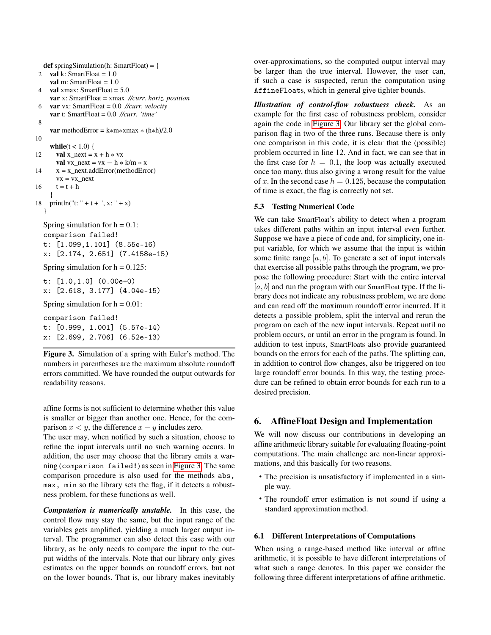```
def springSimulation(h: SmartFloat) = {
2 val k: SmartFloat = 1.0val m: SmartFloat = 1.0
 4 val xmax: SmartFloat = 5.0
    var x: SmartFloat = xmax //curr. horiz. position
6 var vx: SmartFloat = 0.0 //curr. velocity
    var t: SmartFloat = 0.0 //curr. 'time'
8
    var methodError = k*m*xmax * (h*h)/2.010
    while(t < 1.0) {
12 val x_{n} next = x + h * vxval vx_next = vx - h * k/m * x14 \times x = x\_next.addError(methodError)vx = vx\_next16 t = t + h}
18 println("t: " + t + ", x: " + x)
  }
  Spring simulation for h = 0.1:
  comparison failed!
  t: [1.099,1.101] (8.55e-16)
  x: [2.174, 2.651] (7.4158e-15)
  Spring simulation for h = 0.125:
  t: [1.0,1.0] (0.00e+0)
  x: [2.618, 3.177] (4.04e-15)
  Spring simulation for h = 0.01:
  comparison failed!
  t: [0.999, 1.001] (5.57e-14)
  x: [2.699, 2.706] (6.52e-13)
```
<span id="page-9-1"></span>**Figure 3.** Simulation of a spring with Euler's method. The numbers in parentheses are the maximum absolute roundoff errors committed. We have rounded the output outwards for readability reasons.

affine forms is not sufficient to determine whether this value is smaller or bigger than another one. Hence, for the comparison  $x < y$ , the difference  $x - y$  includes zero.

The user may, when notified by such a situation, choose to refine the input intervals until no such warning occurs. In addition, the user may choose that the library emits a warning (comparison failed!) as seen in [Figure](#page-9-1) 3. The same comparison procedure is also used for the methods abs, max, min so the library sets the flag, if it detects a robustness problem, for these functions as well.

*Computation is numerically unstable.* In this case, the control flow may stay the same, but the input range of the variables gets amplified, yielding a much larger output interval. The programmer can also detect this case with our library, as he only needs to compare the input to the output widths of the intervals. Note that our library only gives estimates on the upper bounds on roundoff errors, but not on the lower bounds. That is, our library makes inevitably

over-approximations, so the computed output interval may be larger than the true interval. However, the user can, if such a case is suspected, rerun the computation using AffineFloats, which in general give tighter bounds.

*Illustration of control-flow robustness check.* As an example for the first case of robustness problem, consider again the code in [Figure](#page-9-1) 3. Our library set the global comparison flag in two of the three runs. Because there is only one comparison in this code, it is clear that the (possible) problem occurred in line 12. And in fact, we can see that in the first case for  $h = 0.1$ , the loop was actually executed once too many, thus also giving a wrong result for the value of x. In the second case  $h = 0.125$ , because the computation of time is exact, the flag is correctly not set.

# <span id="page-9-2"></span>**5.3 Testing Numerical Code**

We can take SmartFloat's ability to detect when a program takes different paths within an input interval even further. Suppose we have a piece of code and, for simplicity, one input variable, for which we assume that the input is within some finite range  $[a, b]$ . To generate a set of input intervals that exercise all possible paths through the program, we propose the following procedure: Start with the entire interval  $[a, b]$  and run the program with our SmartFloat type. If the library does not indicate any robustness problem, we are done and can read off the maximum roundoff error incurred. If it detects a possible problem, split the interval and rerun the program on each of the new input intervals. Repeat until no problem occurs, or until an error in the program is found. In addition to test inputs, SmartFloats also provide guaranteed bounds on the errors for each of the paths. The splitting can, in addition to control flow changes, also be triggered on too large roundoff error bounds. In this way, the testing procedure can be refined to obtain error bounds for each run to a desired precision.

# <span id="page-9-0"></span>**6. AffineFloat Design and Implementation**

We will now discuss our contributions in developing an affine arithmetic library suitable for evaluating floating-point computations. The main challenge are non-linear approximations, and this basically for two reasons.

- The precision is unsatisfactory if implemented in a simple way.
- The roundoff error estimation is not sound if using a standard approximation method.

# **6.1 Different Interpretations of Computations**

<span id="page-9-3"></span>When using a range-based method like interval or affine arithmetic, it is possible to have different interpretations of what such a range denotes. In this paper we consider the following three different interpretations of affine arithmetic.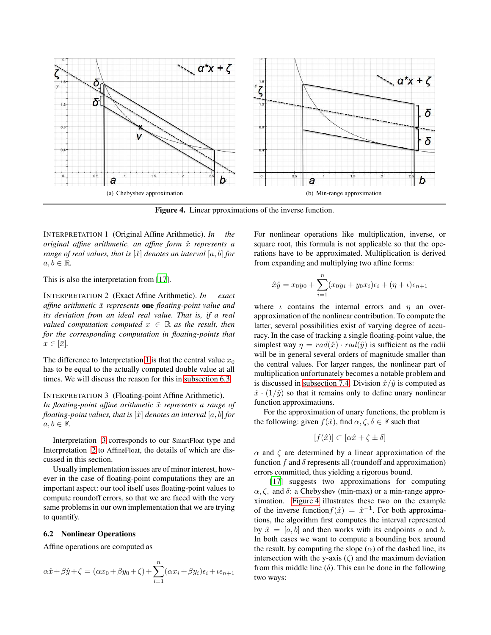

<span id="page-10-2"></span>**Figure 4.** Linear pproximations of the inverse function.

INTERPRETATION 1 (Original Affine Arithmetic). *In the original affine arithmetic, an affine form* xˆ *represents a range of real values, that is*  $[\hat{x}]$  *denotes an interval*  $[a, b]$  *for*  $a, b \in \mathbb{R}$ .

<span id="page-10-1"></span>This is also the interpretation from [\[17\]](#page-18-4).

INTERPRETATION 2 (Exact Affine Arithmetic). *In exact affine arithmetic*  $\bar{x}$  *represents* **one** *floating-point value and its deviation from an ideal real value. That is, if a real valued computation computed*  $x \in \mathbb{R}$  *as the result, then for the corresponding computation in floating-points that*  $x \in [\bar{x}].$ 

The difference to Interpretation [1](#page-9-3) is that the central value  $x_0$ has to be equal to the actually computed double value at all times. We will discuss the reason for this in [subsection](#page-11-0) 6.3.

<span id="page-10-0"></span>INTERPRETATION 3 (Floating-point Affine Arithmetic). *In floating-point affine arithmetic*  $\tilde{x}$  *represents a range of floating-point* values, that is  $[\tilde{x}]$  denotes an interval  $[a, b]$  for  $a, b \in \mathbb{F}$ .

Interpretation [3](#page-10-0) corresponds to our SmartFloat type and Interpretation [2](#page-10-1) to AffineFloat, the details of which are discussed in this section.

Usually implementation issues are of minor interest, however in the case of floating-point computations they are an important aspect: our tool itself uses floating-point values to compute roundoff errors, so that we are faced with the very same problems in our own implementation that we are trying to quantify.

# <span id="page-10-3"></span>**6.2 Nonlinear Operations**

Affine operations are computed as

$$
\alpha \hat{x} + \beta \hat{y} + \zeta = (\alpha x_0 + \beta y_0 + \zeta) + \sum_{i=1}^n (\alpha x_i + \beta y_i) \epsilon_i + \iota \epsilon_{n+1}
$$

For nonlinear operations like multiplication, inverse, or square root, this formula is not applicable so that the operations have to be approximated. Multiplication is derived from expanding and multiplying two affine forms:

$$
\hat{x}\hat{y} = x_0y_0 + \sum_{i=1}^n (x_0y_i + y_0x_i)\epsilon_i + (\eta + \iota)\epsilon_{n+1}
$$

where  $\iota$  contains the internal errors and  $\eta$  an overapproximation of the nonlinear contribution. To compute the latter, several possibilities exist of varying degree of accuracy. In the case of tracking a single floating-point value, the simplest way  $\eta = rad(\hat{x}) \cdot rad(\hat{y})$  is sufficient as the radii will be in general several orders of magnitude smaller than the central values. For larger ranges, the nonlinear part of multiplication unfortunately becomes a notable problem and is discussed in [subsection](#page-14-0) 7.4. Division  $\hat{x}/\hat{y}$  is computed as  $\hat{x} \cdot (1/\hat{y})$  so that it remains only to define unary nonlinear function approximations.

For the approximation of unary functions, the problem is the following: given  $f(\hat{x})$ , find  $\alpha, \zeta, \delta \in \mathbb{F}$  such that

$$
[f(\hat{x})] \subset [\alpha \hat{x} + \zeta \pm \delta]
$$

 $\alpha$  and  $\zeta$  are determined by a linear approximation of the function  $f$  and  $\delta$  represents all (roundoff and approximation) errors committed, thus yielding a rigorous bound.

[\[17\]](#page-18-4) suggests two approximations for computing  $\alpha, \zeta$ , and  $\delta$ : a Chebyshev (min-max) or a min-range approximation. [Figure](#page-10-2) 4 illustrates these two on the example of the inverse function  $f(\hat{x}) = \hat{x}^{-1}$ . For both approximations, the algorithm first computes the interval represented by  $\hat{x} = [a, b]$  and then works with its endpoints a and b. In both cases we want to compute a bounding box around the result, by computing the slope  $(\alpha)$  of the dashed line, its intersection with the y-axis  $(\zeta)$  and the maximum deviation from this middle line  $(\delta)$ . This can be done in the following two ways: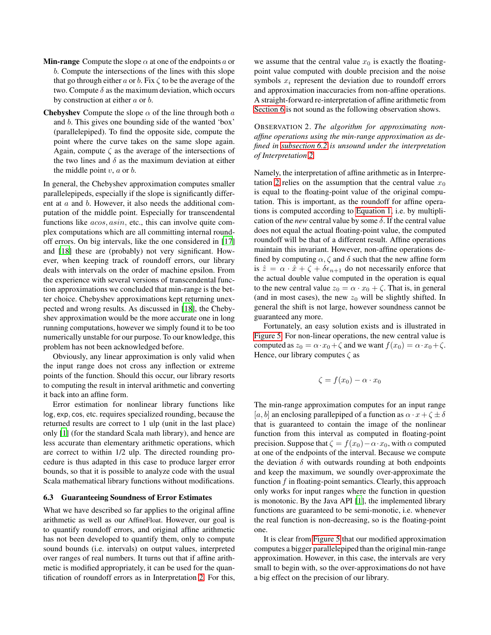- **Min-range** Compute the slope  $\alpha$  at one of the endpoints  $\alpha$  or b. Compute the intersections of the lines with this slope that go through either a or b. Fix  $\zeta$  to be the average of the two. Compute  $\delta$  as the maximum deviation, which occurs by construction at either a or b.
- **Chebyshev** Compute the slope  $\alpha$  of the line through both  $\alpha$ and b. This gives one bounding side of the wanted 'box' (parallelepiped). To find the opposite side, compute the point where the curve takes on the same slope again. Again, compute  $\zeta$  as the average of the intersections of the two lines and  $\delta$  as the maximum deviation at either the middle point  $v$ ,  $a$  or  $b$ .

In general, the Chebyshev approximation computes smaller parallelepipeds, especially if the slope is significantly different at a and b. However, it also needs the additional computation of the middle point. Especially for transcendental functions like  $acos, asin$ , etc., this can involve quite complex computations which are all committing internal roundoff errors. On big intervals, like the one considered in [\[17\]](#page-18-4) and [\[18](#page-18-6)] these are (probably) not very significant. However, when keeping track of roundoff errors, our library deals with intervals on the order of machine epsilon. From the experience with several versions of transcendental function approximations we concluded that min-range is the better choice. Chebyshev approximations kept returning unexpected and wrong results. As discussed in [\[18\]](#page-18-6), the Chebyshev approximation would be the more accurate one in long running computations, however we simply found it to be too numerically unstable for our purpose. To our knowledge, this problem has not been acknowledged before.

Obviously, any linear approximation is only valid when the input range does not cross any inflection or extreme points of the function. Should this occur, our library resorts to computing the result in interval arithmetic and converting it back into an affine form.

Error estimation for nonlinear library functions like log, exp, cos, etc. requires specialized rounding, because the returned results are correct to 1 ulp (unit in the last place) only [\[1\]](#page-18-7) (for the standard Scala math library), and hence are less accurate than elementary arithmetic operations, which are correct to within 1/2 ulp. The directed rounding procedure is thus adapted in this case to produce larger error bounds, so that it is possible to analyze code with the usual Scala mathematical library functions without modifications.

# <span id="page-11-0"></span>**6.3 Guaranteeing Soundness of Error Estimates**

What we have described so far applies to the original affine arithmetic as well as our AffineFloat. However, our goal is to quantify roundoff errors, and original affine arithmetic has not been developed to quantify them, only to compute sound bounds (i.e. intervals) on output values, interpreted over ranges of real numbers. It turns out that if affine arithmetic is modified appropriately, it can be used for the quantification of roundoff errors as in Interpretation [2.](#page-10-1) For this,

we assume that the central value  $x_0$  is exactly the floatingpoint value computed with double precision and the noise symbols  $x_i$  represent the deviation due to roundoff errors and approximation inaccuracies from non-affine operations. A straight-forward re-interpretation of affine arithmetic from [Section](#page-9-0) 6 is not sound as the following observation shows.

OBSERVATION 2. *The algorithm for approximating nonaffine operations using the min-range approximation as defined in [subsection](#page-10-3) 6.2 is unsound under the interpretation of Interpretation [2.](#page-10-1)*

Namely, the interpretation of affine arithmetic as in Interpre-tation [2](#page-10-1) relies on the assumption that the central value  $x_0$ is equal to the floating-point value of the original computation. This is important, as the roundoff for affine operations is computed according to [Equation](#page-3-1) 1, i.e. by multiplication of the *new* central value by some  $\delta$ . If the central value does not equal the actual floating-point value, the computed roundoff will be that of a different result. Affine operations maintain this invariant. However, non-affine operations defined by computing  $\alpha$ ,  $\zeta$  and  $\delta$  such that the new affine form is  $\hat{z} = \alpha \cdot \hat{x} + \zeta + \delta \epsilon_{n+1}$  do not necessarily enforce that the actual double value computed in the operation is equal to the new central value  $z_0 = \alpha \cdot x_0 + \zeta$ . That is, in general (and in most cases), the new  $z_0$  will be slightly shifted. In general the shift is not large, however soundness cannot be guaranteed any more.

Fortunately, an easy solution exists and is illustrated in [Figure](#page-12-0) 5. For non-linear operations, the new central value is computed as  $z_0 = \alpha \cdot x_0 + \zeta$  and we want  $f(x_0) = \alpha \cdot x_0 + \zeta$ . Hence, our library computes  $\zeta$  as

$$
\zeta = f(x_0) - \alpha \cdot x_0
$$

The min-range approximation computes for an input range [a, b] an enclosing parallepiped of a function as  $\alpha \cdot x + \zeta \pm \delta$ that is guaranteed to contain the image of the nonlinear function from this interval as computed in floating-point precision. Suppose that  $\zeta = f(x_0) - \alpha \cdot x_0$ , with  $\alpha$  computed at one of the endpoints of the interval. Because we compute the deviation  $\delta$  with outwards rounding at both endpoints and keep the maximum, we soundly over-approximate the function  $f$  in floating-point semantics. Clearly, this approach only works for input ranges where the function in question is monotonic. By the Java API [\[1](#page-18-7)], the implemented library functions are guaranteed to be semi-monotic, i.e. whenever the real function is non-decreasing, so is the floating-point one.

It is clear from [Figure](#page-12-0) 5 that our modified approximation computes a bigger parallelepiped than the original min-range approximation. However, in this case, the intervals are very small to begin with, so the over-approximations do not have a big effect on the precision of our library.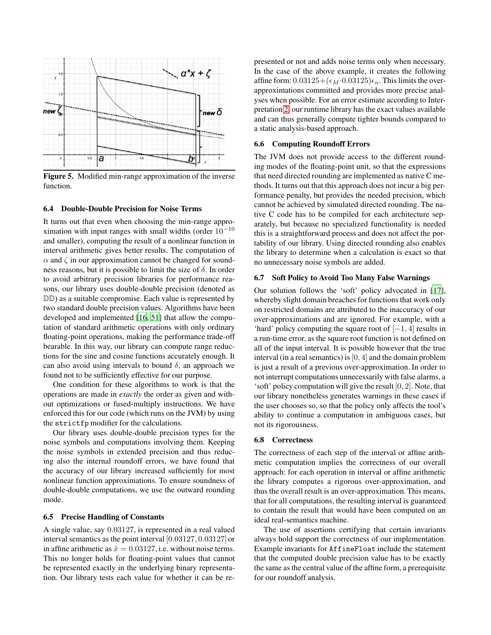

<span id="page-12-0"></span>**Figure 5.** Modified min-range approximation of the inverse function.

#### <span id="page-12-1"></span>**6.4 Double-Double Precision for Noise Terms**

It turns out that even when choosing the min-range approximation with input ranges with small widths (order  $10^{-10}$ ) and smaller), computing the result of a nonlinear function in interval arithmetic gives better results. The computation of  $\alpha$  and  $\zeta$  in our approximation cannot be changed for soundness reasons, but it is possible to limit the size of  $\delta$ . In order to avoid arbitrary precision libraries for performance reasons, our library uses double-double precision (denoted as DD) as a suitable compromise. Each value is represented by two standard double precision values. Algorithms have been developed and implemented [\[16](#page-18-8), [51\]](#page-19-21) that allow the computation of standard arithmetic operations with only ordinary floating-point operations, making the performance trade-off bearable. In this way, our library can compute range reductions for the sine and cosine functions accurately enough. It can also avoid using intervals to bound  $\delta$ , an approach we found not to be sufficiently effective for our purpose.

One condition for these algorithms to work is that the operations are made in *exactly* the order as given and without optimizations or fused-multiply instructions. We have enforced this for our code (which runs on the JVM) by using the strictfp modifier for the calculations.

Our library uses double-double precision types for the noise symbols and computations involving them. Keeping the noise symbols in extended precision and thus reducing also the internal roundoff errors, we have found that the accuracy of our library increased sufficiently for most nonlinear function approximations. To ensure soundness of double-double computations, we use the outward rounding mode.

# **6.5 Precise Handling of Constants**

A single value, say 0.03127, is represented in a real valued interval semantics as the point interval [0.03127, 0.03127] or in affine arithmetic as  $\hat{x} = 0.03127$ , i.e. without noise terms. This no longer holds for floating-point values that cannot be represented exactly in the underlying binary representation. Our library tests each value for whether it can be re-

presented or not and adds noise terms only when necessary. In the case of the above example, it creates the following affine form:  $0.03125+(\epsilon_M \cdot 0.03125)\epsilon_n$ . This limits the overapproximations committed and provides more precise analyses when possible. For an error estimate according to Interpretation [2,](#page-10-1) our runtime library has the exact values available and can thus generally compute tighter bounds compared to a static analysis-based approach.

# **6.6 Computing Roundoff Errors**

The JVM does not provide access to the different rounding modes of the floating-point unit, so that the expressions that need directed rounding are implemented as native C methods. It turns out that this approach does not incur a big performance penalty, but provides the needed precision, which cannot be achieved by simulated directed rounding. The native C code has to be compiled for each architecture separately, but because no specialized functionality is needed this is a straightforward process and does not affect the portability of our library. Using directed rounding also enables the library to determine when a calculation is exact so that no unnecessary noise symbols are added.

## **6.7 Soft Policy to Avoid Too Many False Warnings**

Our solution follows the 'soft' policy advocated in [\[17](#page-18-4)], whereby slight domain breaches for functions that work only on restricted domains are attributed to the inaccuracy of our over-approximations and are ignored. For example, with a 'hard' policy computing the square root of  $[-1, 4]$  results in a run-time error, as the square root function is not defined on all of the input interval. It is possible however that the true interval (in a real semantics) is  $[0, 4]$  and the domain problem is just a result of a previous over-approximation. In order to not interrupt computations unnecessarily with false alarms, a 'soft' policy computation will give the result [0, 2]. Note, that our library nonetheless generates warnings in these cases if the user chooses so, so that the policy only affects the tool's ability to continue a computation in ambiguous cases, but not its rigorousness.

### **6.8 Correctness**

The correctness of each step of the interval or affine arithmetic computation implies the correctness of our overall approach: for each operation in interval or affine arithmetic the library computes a rigorous over-approximation, and thus the overall result is an over-approximation. This means, that for all computations, the resulting interval is guaranteed to contain the result that would have been computed on an ideal real-semantics machine.

The use of assertions certifying that certain invariants always hold support the correctness of our implementation. Example invariants for AffineFloat include the statement that the computed double precision value has to be exactly the same as the central value of the affine form, a prerequisite for our roundoff analysis.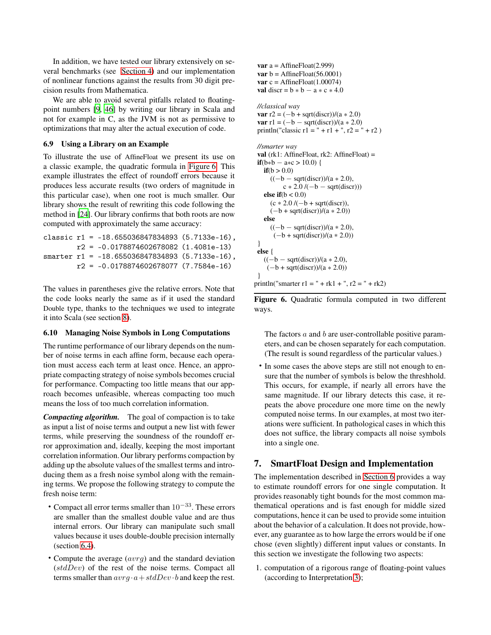In addition, we have tested our library extensively on several benchmarks (see [Section](#page-5-0) 4) and our implementation of nonlinear functions against the results from 30 digit precision results from Mathematica.

We are able to avoid several pitfalls related to floatingpoint numbers [\[9,](#page-18-9) [46\]](#page-19-22) by writing our library in Scala and not for example in C, as the JVM is not as permissive to optimizations that may alter the actual execution of code.

# **6.9 Using a Library on an Example**

To illustrate the use of AffineFloat we present its use on a classic example, the quadratic formula in [Figure](#page-13-2) 6. This example illustrates the effect of roundoff errors because it produces less accurate results (two orders of magnitude in this particular case), when one root is much smaller. Our library shows the result of rewriting this code following the method in [\[24\]](#page-18-10). Our library confirms that both roots are now computed with approximately the same accuracy:

```
classic r1 = -18.655036847834893 (5.7133e-16),
       r2 = -0.0178874602678082 (1.4081e-13)
smarter r1 = -18.655036847834893 (5.7133e-16),
        r2 = -0.0178874602678077 (7.7584e-16)
```
The values in parentheses give the relative errors. Note that the code looks nearly the same as if it used the standard Double type, thanks to the techniques we used to integrate it into Scala (see section [8\)](#page-15-0).

### <span id="page-13-1"></span>**6.10 Managing Noise Symbols in Long Computations**

The runtime performance of our library depends on the number of noise terms in each affine form, because each operation must access each term at least once. Hence, an appropriate compacting strategy of noise symbols becomes crucial for performance. Compacting too little means that our approach becomes unfeasible, whereas compacting too much means the loss of too much correlation information.

*Compacting algorithm.* The goal of compaction is to take as input a list of noise terms and output a new list with fewer terms, while preserving the soundness of the roundoff error approximation and, ideally, keeping the most important correlation information. Our library performs compaction by adding up the absolute values of the smallest terms and introducing them as a fresh noise symbol along with the remaining terms. We propose the following strategy to compute the fresh noise term:

- Compact all error terms smaller than  $10^{-33}$ . These errors are smaller than the smallest double value and are thus internal errors. Our library can manipulate such small values because it uses double-double precision internally (section [6.4\)](#page-12-1).
- Compute the average  $(avrq)$  and the standard deviation (stdDev) of the rest of the noise terms. Compact all terms smaller than  $\alpha v r q \cdot a + stdDev \cdot b$  and keep the rest.

```
var a = AffineFloat(2.999)var b = AffineFloat(56.0001)
 var c = AffineFloat(1.00074)
 val discr = b * b - a * c * 4.0//classical way
 var r2 = (-b + sqrt(diser))/(a * 2.0)var r1 = (-b - \sqrt{sqrt} \cdot d \cdot x))/(a * 2.0)println("classic r1 = " + r1 + ", r2 = " + r2)//smarter way
 val (rk1: AffineFloat, rk2: AffineFloat) =
 if(b*b – a*c > 10.0) {
   if(b > 0.0)
      ((-b - sqrt(discr))/(a * 2.0),c * 2.0 / (-b - sqrt(diser)))else if(b < 0.0)
      (c * 2.0 / (-b + sqrt(disc)),(-b + sqrt(discr))/(a * 2.0))else
      ((-b - sqrt(discr))/(a * 2.0),(-b + sqrt(discr))/(a * 2.0))}
 else {
   ((-b - sqrt(diser))/(a * 2.0),(-b + sqrt(diser))/(a * 2.0)}
println("smarter r1 = " + rk1 + ", r2 = " + rk2)
```
**Figure 6.** Quadratic formula computed in two different ways.

<span id="page-13-2"></span>The factors  $a$  and  $b$  are user-controllable positive parameters, and can be chosen separately for each computation. (The result is sound regardless of the particular values.)

• In some cases the above steps are still not enough to ensure that the number of symbols is below the threshhold. This occurs, for example, if nearly all errors have the same magnitude. If our library detects this case, it repeats the above procedure one more time on the newly computed noise terms. In our examples, at most two iterations were sufficient. In pathological cases in which this does not suffice, the library compacts all noise symbols into a single one.

# <span id="page-13-0"></span>**7. SmartFloat Design and Implementation**

The implementation described in [Section](#page-9-0) 6 provides a way to estimate roundoff errors for one single computation. It provides reasonably tight bounds for the most common mathematical operations and is fast enough for middle sized computations, hence it can be used to provide some intuition about the behavior of a calculation. It does not provide, however, any guarantee as to how large the errors would be if one chose (even slightly) different input values or constants. In this section we investigate the following two aspects:

1. computation of a rigorous range of floating-point values (according to Interpretation [3\)](#page-10-0);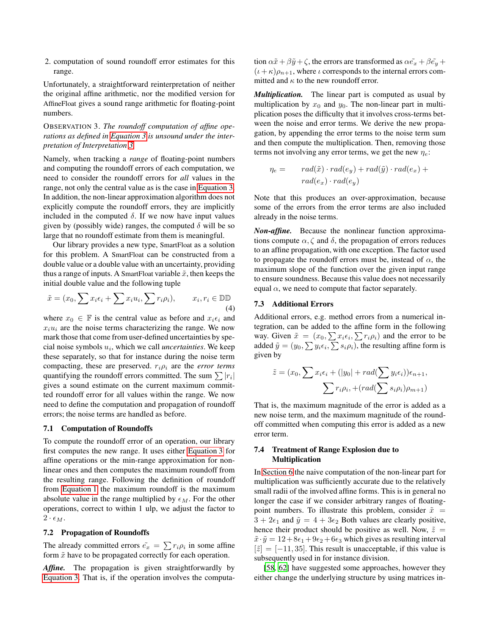2. computation of sound roundoff error estimates for this range.

Unfortunately, a straightforward reinterpretation of neither the original affine arithmetic, nor the modified version for AffineFloat gives a sound range arithmetic for floating-point numbers.

OBSERVATION 3. *The roundoff computation of affine operations as defined in [Equation](#page-4-0) 3 is unsound under the interpretation of Interpretation [3.](#page-10-0)*

Namely, when tracking a *range* of floating-point numbers and computing the roundoff errors of each computation, we need to consider the roundoff errors for *all* values in the range, not only the central value as is the case in [Equation](#page-4-0) 3. In addition, the non-linear approximation algorithm does not explicitly compute the roundoff errors, they are implicitly included in the computed  $\delta$ . If we now have input values given by (possibly wide) ranges, the computed  $\delta$  will be so large that no roundoff estimate from them is meaningful.

Our library provides a new type, SmartFloat as a solution for this problem. A SmartFloat can be constructed from a double value or a double value with an uncertainty, providing thus a range of inputs. A SmartFloat variable  $\tilde{x}$ , then keeps the initial double value and the following tuple

$$
\tilde{x} = (x_0, \sum x_i \epsilon_i + \sum x_i u_i, \sum r_i \rho_i), \qquad x_i, r_i \in \mathbb{D} \mathbb{D}
$$
\n(4)

where  $x_0 \in \mathbb{F}$  is the central value as before and  $x_i \epsilon_i$  and  $x_iu_i$  are the noise terms characterizing the range. We now mark those that come from user-defined uncertainties by spe $cial$  noise symbols  $u_i$ , which we call *uncertainties*. We keep these separately, so that for instance during the noise term compacting, these are preserved.  $r_i \rho_i$  are the *error terms* quantifying the roundoff errors committed. The sum  $\sum |r_i|$ gives a sound estimate on the current maximum committed roundoff error for all values within the range. We now need to define the computation and propagation of roundoff errors; the noise terms are handled as before.

#### **7.1 Computation of Roundoffs**

To compute the roundoff error of an operation, our library first computes the new range. It uses either [Equation](#page-4-0) 3 for affine operations or the min-range approximation for nonlinear ones and then computes the maximum roundoff from the resulting range. Following the definition of roundoff from [Equation](#page-3-1) 1 the maximum roundoff is the maximum absolute value in the range multiplied by  $\epsilon_M$ . For the other operations, correct to within 1 ulp, we adjust the factor to  $2 \cdot \epsilon_M$ .

### **7.2 Propagation of Roundoffs**

The already committed errors  $\tilde{e_x} = \sum r_i \rho_i$  in some affine form  $\tilde{x}$  have to be propagated correctly for each operation.

*Affine.* The propagation is given straightforwardly by [Equation](#page-4-0) 3. That is, if the operation involves the computation  $\alpha \tilde{x} + \beta \tilde{y} + \zeta$ , the errors are transformed as  $\alpha \tilde{e_x} + \beta \tilde{e_y} + \zeta$  $(\iota+\kappa)\rho_{n+1}$ , where  $\iota$  corresponds to the internal errors committed and  $\kappa$  to the new roundoff error.

*Multiplication.* The linear part is computed as usual by multiplication by  $x_0$  and  $y_0$ . The non-linear part in multiplication poses the difficulty that it involves cross-terms between the noise and error terms. We derive the new propagation, by appending the error terms to the noise term sum and then compute the multiplication. Then, removing those terms not involving any error terms, we get the new  $\eta_e$ :

$$
\eta_e = \r{rad}(\tilde{x}) \cdot rad(e_y) + rad(\tilde{y}) \cdot rad(e_x) + rad(e_x) \cdot rad(e_y)
$$

Note that this produces an over-approximation, because some of the errors from the error terms are also included already in the noise terms.

*Non-affine.* Because the nonlinear function approximations compute  $\alpha, \zeta$  and  $\delta$ , the propagation of errors reduces to an affine propagation, with one exception. The factor used to propagate the roundoff errors must be, instead of  $\alpha$ , the maximum slope of the function over the given input range to ensure soundness. Because this value does not necessarily equal  $\alpha$ , we need to compute that factor separately.

# **7.3 Additional Errors**

Additional errors, e.g. method errors from a numerical integration, can be added to the affine form in the following way. Given  $\tilde{x} = (x_0, \sum x_i \epsilon_i, \sum r_i \rho_i)$  and the error to be added  $\tilde{y} = (y_0, \sum y_i \epsilon_i, \sum s_i \rho_i)$ , the resulting affine form is given by

$$
\tilde{z} = (x_0, \sum x_i \epsilon_i + (|y_0| + rad(\sum y_i \epsilon_i))\epsilon_{n+1},
$$

$$
\sum r_i \rho_i, +(rad(\sum s_i \rho_i)\rho_{m+1})
$$

That is, the maximum magnitude of the error is added as a new noise term, and the maximum magnitude of the roundoff committed when computing this error is added as a new error term.

# <span id="page-14-0"></span>**7.4 Treatment of Range Explosion due to Multiplication**

In [Section](#page-9-0) 6 the naive computation of the non-linear part for multiplication was sufficiently accurate due to the relatively small radii of the involved affine forms. This is in general no longer the case if we consider arbitrary ranges of floatingpoint numbers. To illustrate this problem, consider  $\tilde{x}$  =  $3 + 2\epsilon_1$  and  $\tilde{y} = 4 + 3\epsilon_2$  Both values are clearly positive, hence their product should be positive as well. Now,  $\tilde{z} =$  $\tilde{x} \cdot \tilde{y} = 12 + 8\epsilon_1 + 9\epsilon_2 + 6\epsilon_3$  which gives as resulting interval  $|\tilde{z}| = [-11, 35]$ . This result is unacceptable, if this value is subsequently used in for instance division.

[\[58](#page-19-23), [62\]](#page-19-20) have suggested some approaches, however they either change the underlying structure by using matrices in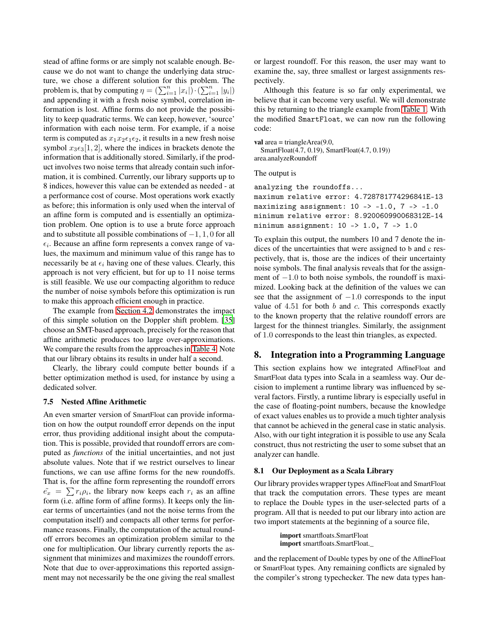stead of affine forms or are simply not scalable enough. Because we do not want to change the underlying data structure, we chose a different solution for this problem. The problem is, that by computing  $\eta = \left(\sum_{i=1}^n |x_i|\right) \cdot \left(\sum_{i=1}^n |y_i|\right)$ and appending it with a fresh noise symbol, correlation information is lost. Affine forms do not provide the possibility to keep quadratic terms. We can keep, however, 'source' information with each noise term. For example, if a noise term is computed as  $x_1x_2 \epsilon_1 \epsilon_2$ , it results in a new fresh noise symbol  $x_3 \epsilon_3$ [1, 2], where the indices in brackets denote the information that is additionally stored. Similarly, if the product involves two noise terms that already contain such information, it is combined. Currently, our library supports up to 8 indices, however this value can be extended as needed - at a performance cost of course. Most operations work exactly as before; this information is only used when the interval of an affine form is computed and is essentially an optimization problem. One option is to use a brute force approach and to substitute all possible combinations of  $-1$ , 1, 0 for all  $\epsilon_i$ . Because an affine form represents a convex range of values, the maximum and minimum value of this range has to necessarily be at  $\epsilon_i$  having one of these values. Clearly, this approach is not very efficient, but for up to 11 noise terms is still feasible. We use our compacting algorithm to reduce the number of noise symbols before this optimization is run to make this approach efficient enough in practice.

The example from [Section](#page-6-1) 4.2 demonstrates the impact of this simple solution on the Doppler shift problem. [\[35\]](#page-19-18) choose an SMT-based approach, precisely for the reason that affine arithmetic produces too large over-approximations. We compare the results from the approaches in [Table](#page-7-1) 4. Note that our library obtains its results in under half a second.

Clearly, the library could compute better bounds if a better optimization method is used, for instance by using a dedicated solver.

# **7.5 Nested Affine Arithmetic**

An even smarter version of SmartFloat can provide information on how the output roundoff error depends on the input error, thus providing additional insight about the computation. This is possible, provided that roundoff errors are computed as *functions* of the initial uncertainties, and not just absolute values. Note that if we restrict ourselves to linear functions, we can use affine forms for the new roundoffs. That is, for the affine form representing the roundoff errors  $\tilde{e_x} = \sum r_i \rho_i$ , the library now keeps each  $r_i$  as an affine form (i.e. affine form of affine forms). It keeps only the linear terms of uncertainties (and not the noise terms from the computation itself) and compacts all other terms for performance reasons. Finally, the computation of the actual roundoff errors becomes an optimization problem similar to the one for multiplication. Our library currently reports the assignment that minimizes and maximizes the roundoff errors. Note that due to over-approximations this reported assignment may not necessarily be the one giving the real smallest

or largest roundoff. For this reason, the user may want to examine the, say, three smallest or largest assignments respectively.

Although this feature is so far only experimental, we believe that it can become very useful. We will demonstrate this by returning to the triangle example from [Table](#page-2-1) 1. With the modified SmartFloat, we can now run the following code:

```
val area = triangleArea(9.0,
```
SmartFloat(4.7, 0.19), SmartFloat(4.7, 0.19)) area.analyzeRoundoff

The output is

```
analyzing the roundoffs...
maximum relative error: 4.728781774296841E-13
maximizing assignment: 10 \rightarrow -1.0, 7 \rightarrow -1.0minimum relative error: 8.920060990068312E-14
minimum assignment: 10 -> 1.0, 7 -> 1.0
```
To explain this output, the numbers 10 and 7 denote the indices of the uncertainties that were assigned to b and c respectively, that is, those are the indices of their uncertainty noise symbols. The final analysis reveals that for the assignment of −1.0 to both noise symbols, the roundoff is maximized. Looking back at the definition of the values we can see that the assignment of  $-1.0$  corresponds to the input value of  $4.51$  for both b and c. This corresponds exactly to the known property that the relative roundoff errors are largest for the thinnest triangles. Similarly, the assignment of 1.0 corresponds to the least thin triangles, as expected.

# <span id="page-15-0"></span>**8. Integration into a Programming Language**

This section explains how we integrated AffineFloat and SmartFloat data types into Scala in a seamless way. Our decision to implement a runtime library was influenced by several factors. Firstly, a runtime library is especially useful in the case of floating-point numbers, because the knowledge of exact values enables us to provide a much tighter analysis that cannot be achieved in the general case in static analysis. Also, with our tight integration it is possible to use any Scala construct, thus not restricting the user to some subset that an analyzer can handle.

# **8.1 Our Deployment as a Scala Library**

Our library provides wrapper types AffineFloat and SmartFloat that track the computation errors. These types are meant to replace the Double types in the user-selected parts of a program. All that is needed to put our library into action are two import statements at the beginning of a source file,

> **import** smartfloats.SmartFloat **import** smartfloats.SmartFloat.**\_**

and the replacement of Double types by one of the AffineFloat or SmartFloat types. Any remaining conflicts are signaled by the compiler's strong typechecker. The new data types han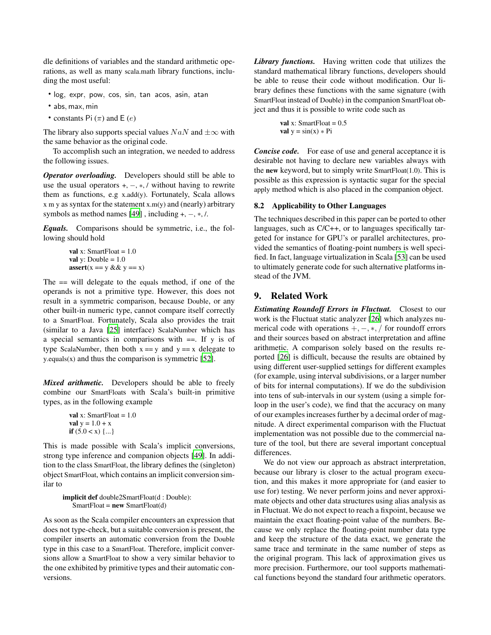dle definitions of variables and the standard arithmetic operations, as well as many scala.math library functions, including the most useful:

- log, expr, pow, cos, sin, tan acos, asin, atan
- abs, max, min
- constants Pi  $(\pi)$  and E  $(e)$

The library also supports special values  $NaN$  and  $\pm\infty$  with the same behavior as the original code.

To accomplish such an integration, we needed to address the following issues.

*Operator overloading.* Developers should still be able to use the usual operators  $+, -, *, /$  without having to rewrite them as functions, e.g x.add(y). Fortunately, Scala allows  $x \text{ m } y$  as syntax for the statement  $x \text{ m}(y)$  and (nearly) arbitrary symbols as method names [\[49](#page-19-9)], including  $+$ ,  $-$ ,  $*$ ,  $\lambda$ .

*Equals.* Comparisons should be symmetric, i.e., the following should hold

```
val x: SmartFloat = 1.0
val y: Double = 1.0assert(x == y \&& y == x)
```
The == will delegate to the equals method, if one of the operands is not a primitive type. However, this does not result in a symmetric comparison, because Double, or any other built-in numeric type, cannot compare itself correctly to a SmartFloat. Fortunately, Scala also provides the trait (similar to a Java [\[25\]](#page-19-24) interface) ScalaNumber which has a special semantics in comparisons with  $==$ . If y is of type ScalaNumber, then both  $x = y$  and  $y = x$  delegate to y.equals(x) and thus the comparison is symmetric  $[52]$  $[52]$ .

*Mixed arithmetic.* Developers should be able to freely combine our SmartFloats with Scala's built-in primitive types, as in the following example

```
val x: SmartFloat = 1.0
val y = 1.0 + xif (5.0 < x) {...}
```
This is made possible with Scala's implicit conversions, strong type inference and companion objects [\[49](#page-19-9)]. In addition to the class SmartFloat, the library defines the (singleton) object SmartFloat, which contains an implicit conversion similar to

**implicit def** double2SmartFloat(d : Double): SmartFloat = **new** SmartFloat(d)

As soon as the Scala compiler encounters an expression that does not type-check, but a suitable conversion is present, the compiler inserts an automatic conversion from the Double type in this case to a SmartFloat. Therefore, implicit conversions allow a SmartFloat to show a very similar behavior to the one exhibited by primitive types and their automatic conversions.

*Library functions.* Having written code that utilizes the standard mathematical library functions, developers should be able to reuse their code without modification. Our library defines these functions with the same signature (with SmartFloat instead of Double) in the companion SmartFloat object and thus it is possible to write code such as

> **val** x: SmartFloat = 0.5 **val**  $y = sin(x) * Pi$

*Concise code.* For ease of use and general acceptance it is desirable not having to declare new variables always with the **new** keyword, but to simply write SmartFloat(1.0). This is possible as this expression is syntactic sugar for the special apply method which is also placed in the companion object.

# **8.2 Applicability to Other Languages**

The techniques described in this paper can be ported to other languages, such as C/C++, or to languages specifically targeted for instance for GPU's or parallel architectures, provided the semantics of floating-point numbers is well specified. In fact, language virtualization in Scala [\[53\]](#page-19-26) can be used to ultimately generate code for such alternative platforms instead of the JVM.

# <span id="page-16-0"></span>**9. Related Work**

*Estimating Roundoff Errors in Fluctuat.* Closest to our work is the Fluctuat static analyzer [\[26\]](#page-19-27) which analyzes numerical code with operations  $+, -, *, /$  for roundoff errors and their sources based on abstract interpretation and affine arithmetic. A comparison solely based on the results reported [\[26](#page-19-27)] is difficult, because the results are obtained by using different user-supplied settings for different examples (for example, using interval subdivisions, or a larger number of bits for internal computations). If we do the subdivision into tens of sub-intervals in our system (using a simple forloop in the user's code), we find that the accuracy on many of our examples increases further by a decimal order of magnitude. A direct experimental comparison with the Fluctuat implementation was not possible due to the commercial nature of the tool, but there are several important conceptual differences.

We do not view our approach as abstract interpretation, because our library is closer to the actual program execution, and this makes it more appropriate for (and easier to use for) testing. We never perform joins and never approximate objects and other data structures using alias analysis as in Fluctuat. We do not expect to reach a fixpoint, because we maintain the exact floating-point value of the numbers. Because we only replace the floating-point number data type and keep the structure of the data exact, we generate the same trace and terminate in the same number of steps as the original program. This lack of approximation gives us more precision. Furthermore, our tool supports mathematical functions beyond the standard four arithmetic operators.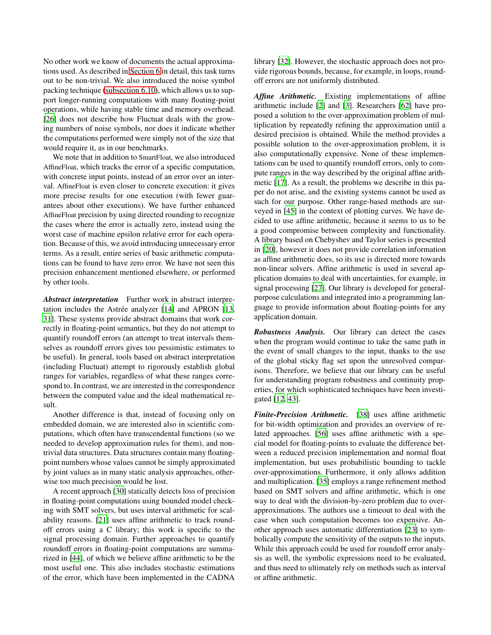No other work we know of documents the actual approximations used. As described in [Section](#page-9-0) 6 in detail, this task turns out to be non-trivial. We also introduced the noise symbol packing technique [\(subsection](#page-13-1) 6.10), which allows us to support longer-running computations with many floating-point operations, while having stable time and memory overhead. [\[26](#page-19-27)] does not describe how Fluctuat deals with the growing numbers of noise symbols, nor does it indicate whether the computations performed were simply not of the size that would require it, as in our benchmarks.

We note that in addition to SmartFloat, we also introduced AffineFloat, which tracks the error of a specific computation, with concrete input points, instead of an error over an interval. AffineFloat is even closer to concrete execution: it gives more precise results for one execution (with fewer guarantees about other executions). We have further enhanced AffineFloat precision by using directed rounding to recognize the cases where the error is actually zero, instead using the worst case of machine epsilon relative error for each operation. Because of this, we avoid introducing unnecessary error terms. As a result, entire series of basic arithmetic computations can be found to have zero error. We have not seen this precision enhancement mentioned elsewhere, or performed by other tools.

*Abstract interpretation* Further work in abstract interpretation includes the Astrée analyzer [\[14\]](#page-18-11) and APRON [\[13,](#page-18-12) [31\]](#page-19-28). These systems provide abstract domains that work correctly in floating-point semantics, but they do not attempt to quantify roundoff errors (an attempt to treat intervals themselves as roundoff errors gives too pessimistic estimates to be useful). In general, tools based on abstract interpretation (including Fluctuat) attempt to rigorously establish global ranges for variables, regardless of what these ranges correspond to. In contrast, we are interested in the correspondence between the computed value and the ideal mathematical result.

Another difference is that, instead of focusing only on embedded domain, we are interested also in scientific computations, which often have transcendental functions (so we needed to develop approximation rules for them), and nontrivial data structures. Data structures contain many floatingpoint numbers whose values cannot be simply approximated by joint values as in many static analysis approaches, otherwise too much precision would be lost.

A recent approach [\[30](#page-19-29)] statically detects loss of precision in floating-point computations using bounded model checking with SMT solvers, but uses interval arithmetic for scalability reasons. [\[21\]](#page-18-13) uses affine arithmetic to track roundoff errors using a C library; this work is specific to the signal processing domain. Further approaches to quantify roundoff errors in floating-point computations are summarized in [\[44\]](#page-19-30), of which we believe affine arithmetic to be the most useful one. This also includes stochastic estimations of the error, which have been implemented in the CADNA

library [\[32\]](#page-19-31). However, the stochastic approach does not provide rigorous bounds, because, for example, in loops, roundoff errors are not uniformly distributed.

*Affine Arithmetic.* Existing implementations of affine arithmetic include [\[2](#page-18-14)] and [\[3\]](#page-18-15). Researchers [\[62](#page-19-20)] have proposed a solution to the over-approximation problem of multiplication by repeatedly refining the approximation until a desired precision is obtained. While the method provides a possible solution to the over-approximation problem, it is also computationally expensive. None of these implementations can be used to quantify roundoff errors, only to compute ranges in the way described by the original affine arithmetic [\[17](#page-18-4)]. As a result, the problems we describe in this paper do not arise, and the existing systems cannot be used as such for our purpose. Other range-based methods are surveyed in [\[45](#page-19-32)] in the context of plotting curves. We have decided to use affine arithmetic, because it seems to us to be a good compromise between complexity and functionality. A library based on Chebyshev and Taylor series is presented in [\[20\]](#page-18-16), however it does not provide correlation information as affine arithmetic does, so its use is directed more towards non-linear solvers. Affine arithmetic is used in several application domains to deal with uncertainties, for example, in signal processing [\[27\]](#page-19-33). Our library is developed for generalpurpose calculations and integrated into a programming language to provide information about floating-points for any application domain.

*Robustness Analysis.* Our library can detect the cases when the program would continue to take the same path in the event of small changes to the input, thanks to the use of the global sticky flag set upon the unresolved comparisons. Therefore, we believe that our library can be useful for understanding program robustness and continuity properties, for which sophisticated techniques have been investigated [\[12](#page-18-17), [43](#page-19-34)].

*Finite-Precision Arithmetic.* [\[38](#page-19-35)] uses affine arithmetic for bit-width optimization and provides an overview of related approaches. [\[56](#page-19-36)] uses affine arithmetic with a special model for floating-points to evaluate the difference between a reduced precision implementation and normal float implementation, but uses probabilistic bounding to tackle over-approximations. Furthermore, it only allows addition and multiplication. [\[35\]](#page-19-18) employs a range refinement method based on SMT solvers and affine arithmetic, which is one way to deal with the division-by-zero problem due to overapproximations. The authors use a timeout to deal with the case when such computation becomes too expensive. Another approach uses automatic differentiation [\[23](#page-18-18)] to symbolically compute the sensitivity of the outputs to the inputs. While this approach could be used for roundoff error analysis as well, the symbolic expressions need to be evaluated, and thus need to ultimately rely on methods such as interval or affine arithmetic.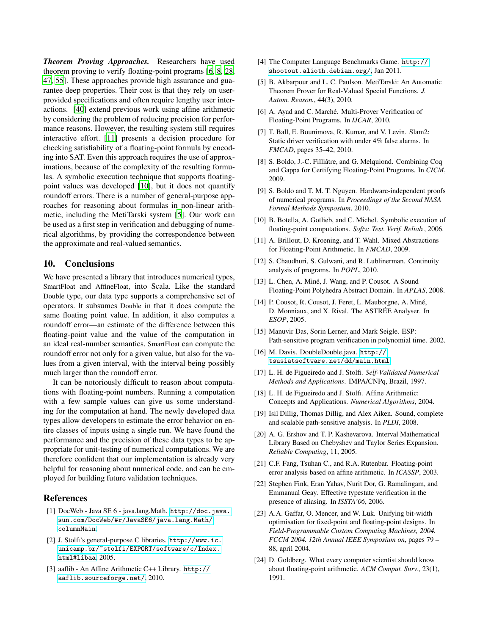*Theorem Proving Approaches.* Researchers have used theorem proving to verify floating-point programs [\[6](#page-18-19), [8,](#page-18-20) [28,](#page-19-1) [47,](#page-19-2) [55](#page-19-3)]. These approaches provide high assurance and guarantee deep properties. Their cost is that they rely on userprovided specifications and often require lengthy user interactions. [\[40\]](#page-19-37) extend previous work using affine arithmetic by considering the problem of reducing precision for performance reasons. However, the resulting system still requires interactive effort. [\[11](#page-18-21)] presents a decision procedure for checking satisfiability of a floating-point formula by encoding into SAT. Even this approach requires the use of approximations, because of the complexity of the resulting formulas. A symbolic execution technique that supports floatingpoint values was developed [\[10\]](#page-18-22), but it does not quantify roundoff errors. There is a number of general-purpose approaches for reasoning about formulas in non-linear arithmetic, including the MetiTarski system [\[5\]](#page-18-23). Our work can be used as a first step in verification and debugging of numerical algorithms, by providing the correspondence between the approximate and real-valued semantics.

# **10. Conclusions**

We have presented a library that introduces numerical types, SmartFloat and AffineFloat, into Scala. Like the standard Double type, our data type supports a comprehensive set of operators. It subsumes Double in that it does compute the same floating point value. In addition, it also computes a roundoff error—an estimate of the difference between this floating-point value and the value of the computation in an ideal real-number semantics. SmartFloat can compute the roundoff error not only for a given value, but also for the values from a given interval, with the interval being possibly much larger than the roundoff error.

It can be notoriously difficult to reason about computations with floating-point numbers. Running a computation with a few sample values can give us some understanding for the computation at hand. The newly developed data types allow developers to estimate the error behavior on entire classes of inputs using a single run. We have found the performance and the precision of these data types to be appropriate for unit-testing of numerical computations. We are therefore confident that our implementation is already very helpful for reasoning about numerical code, and can be employed for building future validation techniques.

# **References**

- <span id="page-18-7"></span>[1] DocWeb - Java SE 6 - java.lang.Math. [http://doc.java.](http://doc.java.sun.com/DocWeb/#r/Java SE 6/java.lang.Math/columnMain) [sun.com/DocWeb/#r/JavaSE6/java.lang.Math/](http://doc.java.sun.com/DocWeb/#r/Java SE 6/java.lang.Math/columnMain) [columnMain](http://doc.java.sun.com/DocWeb/#r/Java SE 6/java.lang.Math/columnMain).
- <span id="page-18-14"></span>[2] J. Stolfi's general-purpose C libraries. [http://www.ic.](http://www.ic.unicamp.br/~stolfi/EXPORT/software/c/ Index.html#libaa) [unicamp.br/~stolfi/EXPORT/software/c/Index.](http://www.ic.unicamp.br/~stolfi/EXPORT/software/c/ Index.html#libaa) [html#libaa](http://www.ic.unicamp.br/~stolfi/EXPORT/software/c/ Index.html#libaa), 2005.
- <span id="page-18-15"></span>[3] aaflib - An Affine Arithmetic C++ Library. [http://](http://aaflib.sourceforge.net/) [aaflib.sourceforge.net/](http://aaflib.sourceforge.net/), 2010.
- <span id="page-18-5"></span>[4] The Computer Language Benchmarks Game. [http://](http://shootout.alioth.debian.org/) [shootout.alioth.debian.org/](http://shootout.alioth.debian.org/), Jan 2011.
- <span id="page-18-23"></span>[5] B. Akbarpour and L. C. Paulson. MetiTarski: An Automatic Theorem Prover for Real-Valued Special Functions. *J. Autom. Reason.*, 44(3), 2010.
- <span id="page-18-19"></span>[6] A. Ayad and C. Marché. Multi-Prover Verification of Floating-Point Programs. In *IJCAR*, 2010.
- <span id="page-18-0"></span>[7] T. Ball, E. Bounimova, R. Kumar, and V. Levin. Slam2: Static driver verification with under 4% false alarms. In *FMCAD*, pages 35–42, 2010.
- <span id="page-18-20"></span>[8] S. Boldo, J.-C. Filliâtre, and G. Melquiond. Combining Coq and Gappa for Certifying Floating-Point Programs. In *CICM*, 2009.
- <span id="page-18-9"></span>[9] S. Boldo and T. M. T. Nguyen. Hardware-independent proofs of numerical programs. In *Proceedings of the Second NASA Formal Methods Symposium*, 2010.
- <span id="page-18-22"></span>[10] B. Botella, A. Gotlieb, and C. Michel. Symbolic execution of floating-point computations. *Softw. Test. Verif. Reliab.*, 2006.
- <span id="page-18-21"></span>[11] A. Brillout, D. Kroening, and T. Wahl. Mixed Abstractions for Floating-Point Arithmetic. In *FMCAD*, 2009.
- <span id="page-18-17"></span>[12] S. Chaudhuri, S. Gulwani, and R. Lublinerman. Continuity analysis of programs. In *POPL*, 2010.
- <span id="page-18-12"></span>[13] L. Chen, A. Miné, J. Wang, and P. Cousot. A Sound Floating-Point Polyhedra Abstract Domain. In *APLAS*, 2008.
- <span id="page-18-11"></span>[14] P. Cousot, R. Cousot, J. Feret, L. Mauborgne, A. Miné, D. Monniaux, and X. Rival. The ASTRÉE Analyser. In *ESOP*, 2005.
- <span id="page-18-1"></span>[15] Manuvir Das, Sorin Lerner, and Mark Seigle. ESP: Path-sensitive program verification in polynomial time. 2002.
- <span id="page-18-8"></span>[16] M. Davis. DoubleDouble.java. [http://](http://tsusiatsoftware.net/dd/main.html) [tsusiatsoftware.net/dd/main.html](http://tsusiatsoftware.net/dd/main.html).
- <span id="page-18-4"></span>[17] L. H. de Figueiredo and J. Stolfi. *Self-Validated Numerical Methods and Applications*. IMPA/CNPq, Brazil, 1997.
- <span id="page-18-6"></span>[18] L. H. de Figueiredo and J. Stolfi. Affine Arithmetic: Concepts and Applications. *Numerical Algorithms*, 2004.
- <span id="page-18-2"></span>[19] Isil Dillig, Thomas Dillig, and Alex Aiken. Sound, complete and scalable path-sensitive analysis. In *PLDI*, 2008.
- <span id="page-18-16"></span>[20] A. G. Ershov and T. P. Kashevarova. Interval Mathematical Library Based on Chebyshev and Taylor Series Expansion. *Reliable Computing*, 11, 2005.
- <span id="page-18-13"></span>[21] C.F. Fang, Tsuhan C., and R.A. Rutenbar. Floating-point error analysis based on affine arithmetic. In *ICASSP*, 2003.
- <span id="page-18-3"></span>[22] Stephen Fink, Eran Yahav, Nurit Dor, G. Ramalingam, and Emmanual Geay. Effective typestate verification in the presence of aliasing. In *ISSTA'06*, 2006.
- <span id="page-18-18"></span>[23] A.A. Gaffar, O. Mencer, and W. Luk. Unifying bit-width optimisation for fixed-point and floating-point designs. In *Field-Programmable Custom Computing Machines, 2004. FCCM 2004. 12th Annual IEEE Symposium on*, pages 79 – 88, april 2004.
- <span id="page-18-10"></span>[24] D. Goldberg. What every computer scientist should know about floating-point arithmetic. *ACM Comput. Surv.*, 23(1), 1991.